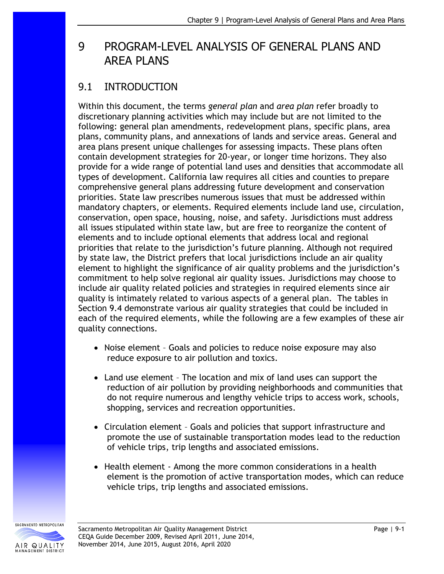# 9 PROGRAM-LEVEL ANALYSIS OF GENERAL PLANS AND AREA PLANS

# 9.1 INTRODUCTION

Within this document, the terms *general plan* and *area plan* refer broadly to discretionary planning activities which may include but are not limited to the following: general plan amendments, redevelopment plans, specific plans, area plans, community plans, and annexations of lands and service areas. General and area plans present unique challenges for assessing impacts. These plans often contain development strategies for 20-year, or longer time horizons. They also provide for a wide range of potential land uses and densities that accommodate all types of development. California law requires all cities and counties to prepare comprehensive general plans addressing future development and conservation priorities. State law prescribes numerous issues that must be addressed within mandatory chapters, or elements. Required elements include land use, circulation, conservation, open space, housing, noise, and safety. Jurisdictions must address all issues stipulated within state law, but are free to reorganize the content of elements and to include optional elements that address local and regional priorities that relate to the jurisdiction's future planning. Although not required by state law, the District prefers that local jurisdictions include an air quality element to highlight the significance of air quality problems and the jurisdiction's commitment to help solve regional air quality issues. Jurisdictions may choose to include air quality related policies and strategies in required elements since air quality is intimately related to various aspects of a general plan. The tables in Section 9.4 demonstrate various air quality strategies that could be included in each of the required elements, while the following are a few examples of these air quality connections.

- Noise element Goals and policies to reduce noise exposure may also reduce exposure to air pollution and toxics.
- Land use element The location and mix of land uses can support the reduction of air pollution by providing neighborhoods and communities that do not require numerous and lengthy vehicle trips to access work, schools, shopping, services and recreation opportunities.
- Circulation element Goals and policies that support infrastructure and promote the use of sustainable transportation modes lead to the reduction of vehicle trips, trip lengths and associated emissions.
- Health element Among the more common considerations in a health element is the promotion of active transportation modes, which can reduce vehicle trips, trip lengths and associated emissions.

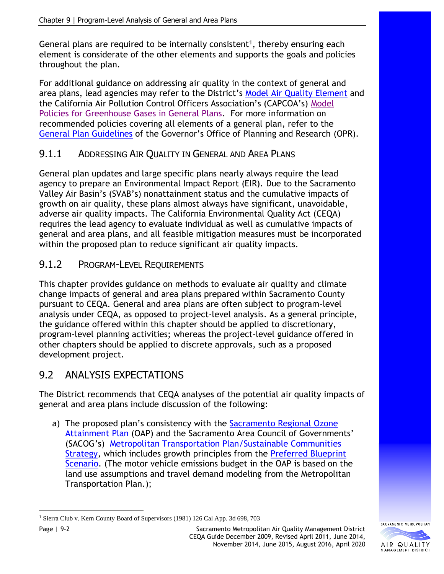General plans are required to be internally consistent<sup>1</sup>, thereby ensuring each element is considerate of the other elements and supports the goals and policies throughout the plan.

For additional guidance on addressing air quality in the context of general and area plans, lead agencies may refer to the District's [Model Air Quality Element](http://www.airquality.org/Businesses/CEQA-Land-Use-Planning) and the California Air Pollution Control Officers Association's (CAPCOA's) [Model](http://www.capcoa.org/wp-content/uploads/downloads/2010/05/CAPCOA-ModelPolicies-6-12-09-915am.pdf)  [Policies for Greenhouse Gases in General Plans.](http://www.capcoa.org/wp-content/uploads/downloads/2010/05/CAPCOA-ModelPolicies-6-12-09-915am.pdf) For more information on recommended policies covering all elements of a general plan, refer to the [General Plan Guidelines](http://www.opr.ca.gov/planning/general-plan/guidelines.html) of the Governor's Office of Planning and Research (OPR).

## 9.1.1 ADDRESSING AIR QUALITY IN GENERAL AND AREA PLANS

General plan updates and large specific plans nearly always require the lead agency to prepare an Environmental Impact Report (EIR). Due to the Sacramento Valley Air Basin's (SVAB's) nonattainment status and the cumulative impacts of growth on air quality, these plans almost always have significant, unavoidable, adverse air quality impacts. The California Environmental Quality Act (CEQA) requires the lead agency to evaluate individual as well as cumulative impacts of general and area plans, and all feasible mitigation measures must be incorporated within the proposed plan to reduce significant air quality impacts.

## 9.1.2 PROGRAM-LEVEL REQUIREMENTS

This chapter provides guidance on methods to evaluate air quality and climate change impacts of general and area plans prepared within Sacramento County pursuant to CEQA. General and area plans are often subject to program-level analysis under CEQA, as opposed to project-level analysis. As a general principle, the guidance offered within this chapter should be applied to discretionary, program-level planning activities; whereas the project-level guidance offered in other chapters should be applied to discrete approvals, such as a proposed development project.

# 9.2 ANALYSIS EXPECTATIONS

The District recommends that CEQA analyses of the potential air quality impacts of general and area plans include discussion of the following:

a) The proposed plan's consistency with the [Sacramento Regional Ozone](http://www.airquality.org/air-quality-health/air-quality-plans/federal-planning)  [Attainment](http://www.airquality.org/air-quality-health/air-quality-plans/federal-planning) Plan (OAP) and the Sacramento Area Council of Governments' (SACOG's) [Metropolitan Transportation Plan/Sustainable Communities](http://www.sacog.org/regional-plans)  [Strategy,](http://www.sacog.org/regional-plans) which includes growth principles from the [Preferred Blueprint](http://www.sacregionblueprint.org/sacregionblueprint/the_project/discussion_draft_preferred_scenario.cfm)  [Scenario.](http://www.sacregionblueprint.org/sacregionblueprint/the_project/discussion_draft_preferred_scenario.cfm) (The motor vehicle emissions budget in the OAP is based on the land use assumptions and travel demand modeling from the Metropolitan Transportation Plan.);



<sup>&</sup>lt;sup>1</sup> Sierra Club v. Kern County Board of Supervisors (1981) 126 Cal App. 3d 698, 703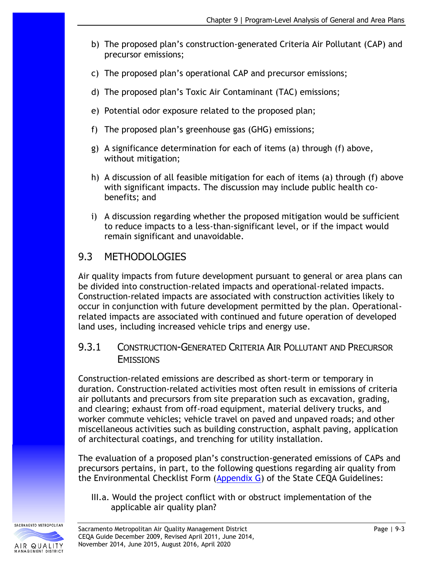- b) The proposed plan's construction-generated Criteria Air Pollutant (CAP) and precursor emissions;
- c) The proposed plan's operational CAP and precursor emissions;
- d) The proposed plan's Toxic Air Contaminant (TAC) emissions;
- e) Potential odor exposure related to the proposed plan;
- f) The proposed plan's greenhouse gas (GHG) emissions;
- g) A significance determination for each of items (a) through (f) above, without mitigation;
- h) A discussion of all feasible mitigation for each of items (a) through (f) above with significant impacts. The discussion may include public health cobenefits; and
- i) A discussion regarding whether the proposed mitigation would be sufficient to reduce impacts to a less-than-significant level, or if the impact would remain significant and unavoidable.

# 9.3 METHODOLOGIES

Air quality impacts from future development pursuant to general or area plans can be divided into construction-related impacts and operational-related impacts. Construction-related impacts are associated with construction activities likely to occur in conjunction with future development permitted by the plan. Operationalrelated impacts are associated with continued and future operation of developed land uses, including increased vehicle trips and energy use.

### 9.3.1 CONSTRUCTION-GENERATED CRITERIA AIR POLLUTANT AND PRECURSOR **EMISSIONS**

Construction-related emissions are described as short-term or temporary in duration. Construction-related activities most often result in emissions of criteria air pollutants and precursors from site preparation such as excavation, grading, and clearing; exhaust from off-road equipment, material delivery trucks, and worker commute vehicles; vehicle travel on paved and unpaved roads; and other miscellaneous activities such as building construction, asphalt paving, application of architectural coatings, and trenching for utility installation.

The evaluation of a proposed plan's construction-generated emissions of CAPs and precursors pertains, in part, to the following questions regarding air quality from the Environmental Checklist Form [\(Appendix G\)](http://califaep.org/docs/2019-Appendix_G_Checklist.pdf) of the State CEQA Guidelines:

III.a. Would the project conflict with or obstruct implementation of the applicable air quality plan?

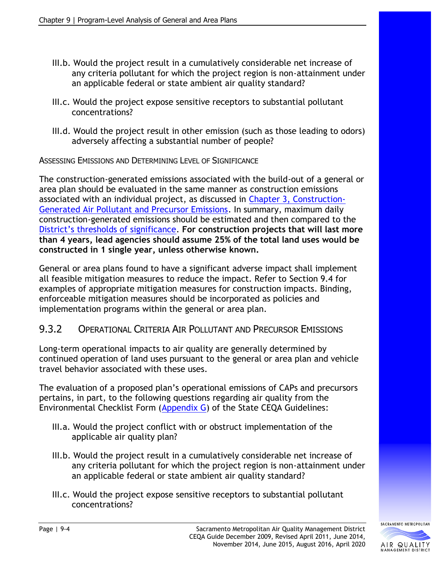- III.b. Would the project result in a cumulatively considerable net increase of any criteria pollutant for which the project region is non-attainment under an applicable federal or state ambient air quality standard?
- III.c. Would the project expose sensitive receptors to substantial pollutant concentrations?
- III.d. Would the project result in other emission (such as those leading to odors) adversely affecting a substantial number of people?

ASSESSING EMISSIONS AND DETERMINING LEVEL OF SIGNIFICANCE

The construction-generated emissions associated with the build-out of a general or area plan should be evaluated in the same manner as construction emissions associated with an individual project, as discussed in Chapter 3, [Construction-](http://www.airquality.org/Businesses/CEQA-Land-Use-Planning/CEQA-Guidance-Tools)[Generated Air Pollutant and Precursor Emissions.](http://www.airquality.org/Businesses/CEQA-Land-Use-Planning/CEQA-Guidance-Tools) In summary, maximum daily construction-generated emissions should be estimated and then compared to the [District's thresholds of significance](http://www.airquality.org/Businesses/CEQA-Land-Use-Planning/CEQA-Guidance-Tools). **For construction projects that will last more than 4 years, lead agencies should assume 25% of the total land uses would be constructed in 1 single year, unless otherwise known.**

General or area plans found to have a significant adverse impact shall implement all feasible mitigation measures to reduce the impact. Refer to Section 9.4 for examples of appropriate mitigation measures for construction impacts. Binding, enforceable mitigation measures should be incorporated as policies and implementation programs within the general or area plan.

### 9.3.2 OPERATIONAL CRITERIA AIR POLLUTANT AND PRECURSOR EMISSIONS

Long-term operational impacts to air quality are generally determined by continued operation of land uses pursuant to the general or area plan and vehicle travel behavior associated with these uses.

The evaluation of a proposed plan's operational emissions of CAPs and precursors pertains, in part, to the following questions regarding air quality from the Environmental Checklist Form [\(Appendix G\)](http://califaep.org/docs/2019-Appendix_G_Checklist.pdf) of the State CEQA Guidelines:

- III.a. Would the project conflict with or obstruct implementation of the applicable air quality plan?
- III.b. Would the project result in a cumulatively considerable net increase of any criteria pollutant for which the project region is non-attainment under an applicable federal or state ambient air quality standard?
- III.c. Would the project expose sensitive receptors to substantial pollutant concentrations?

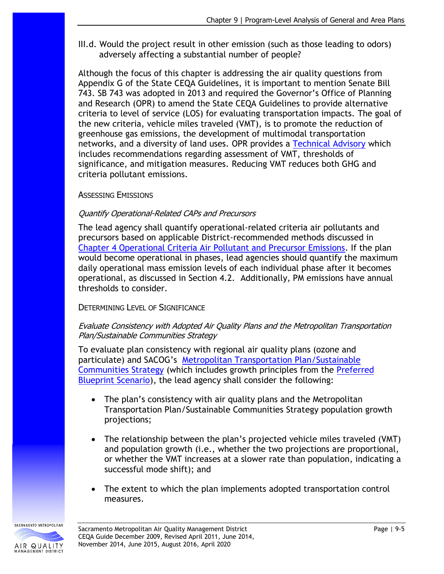III.d. Would the project result in other emission (such as those leading to odors) adversely affecting a substantial number of people?

Although the focus of this chapter is addressing the air quality questions from Appendix G of the State CEQA Guidelines, it is important to mention Senate Bill 743. SB 743 was adopted in 2013 and required the Governor's Office of Planning and Research (OPR) to amend the State CEQA Guidelines to provide alternative criteria to level of service (LOS) for evaluating transportation impacts. The goal of the new criteria, vehicle miles traveled (VMT), is to promote the reduction of greenhouse gas emissions, the development of multimodal transportation networks, and a diversity of land uses. OPR provides a [Technical Advisory](http://www.opr.ca.gov/ceqa/updates/sb-743/) which includes recommendations regarding assessment of VMT, thresholds of significance, and mitigation measures. Reducing VMT reduces both GHG and criteria pollutant emissions.

### ASSESSING EMISSIONS

### Quantify Operational-Related CAPs and Precursors

The lead agency shall quantify operational-related criteria air pollutants and precursors based on applicable District-recommended methods discussed in [Chapter 4 Operational Criteria Air Pollutant and Precursor Emissions.](http://www.airquality.org/Businesses/CEQA-Land-Use-Planning/CEQA-Guidance-Tools) If the plan would become operational in phases, lead agencies should quantify the maximum daily operational mass emission levels of each individual phase after it becomes operational, as discussed in Section 4.2. Additionally, PM emissions have annual thresholds to consider.

### DETERMINING LEVEL OF SIGNIFICANCE

#### Evaluate Consistency with Adopted Air Quality Plans and the Metropolitan Transportation Plan/Sustainable Communities Strategy

To evaluate plan consistency with regional air quality plans (ozone and particulate) and SACOG's [Metropolitan Transportation Plan/Sustainable](http://www.sacog.org/regional-plans)  [Communities Strategy](http://www.sacog.org/regional-plans) (which includes growth principles from the [Preferred](http://www.sacregionblueprint.org/sacregionblueprint/the_project/discussion_draft_preferred_scenario.cfm)  [Blueprint Scenario\)](http://www.sacregionblueprint.org/sacregionblueprint/the_project/discussion_draft_preferred_scenario.cfm), the lead agency shall consider the following:

- The plan's consistency with air quality plans and the Metropolitan Transportation Plan/Sustainable Communities Strategy population growth projections;
- The relationship between the plan's projected vehicle miles traveled (VMT) and population growth (i.e., whether the two projections are proportional, or whether the VMT increases at a slower rate than population, indicating a successful mode shift); and
- The extent to which the plan implements adopted transportation control measures.

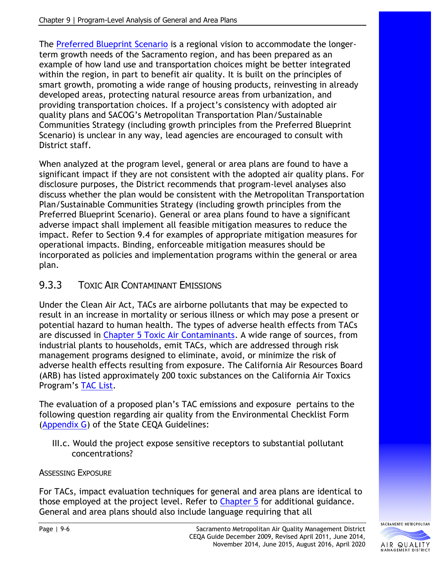The [Preferred Blueprint Scenario](http://www.sacregionblueprint.org/sacregionblueprint/the_project/discussion_draft_preferred_scenario.cfm) is a regional vision to accommodate the longerterm growth needs of the Sacramento region, and has been prepared as an example of how land use and transportation choices might be better integrated within the region, in part to benefit air quality. It is built on the principles of smart growth, promoting a wide range of housing products, reinvesting in already developed areas, protecting natural resource areas from urbanization, and providing transportation choices. If a project's consistency with adopted air quality plans and SACOG's Metropolitan Transportation Plan/Sustainable Communities Strategy (including growth principles from the Preferred Blueprint Scenario) is unclear in any way, lead agencies are encouraged to consult with District staff.

When analyzed at the program level, general or area plans are found to have a significant impact if they are not consistent with the adopted air quality plans. For disclosure purposes, the District recommends that program-level analyses also discuss whether the plan would be consistent with the Metropolitan Transportation Plan/Sustainable Communities Strategy (including growth principles from the Preferred Blueprint Scenario). General or area plans found to have a significant adverse impact shall implement all feasible mitigation measures to reduce the impact. Refer to Section 9.4 for examples of appropriate mitigation measures for operational impacts. Binding, enforceable mitigation measures should be incorporated as policies and implementation programs within the general or area plan.

## 9.3.3 TOXIC AIR CONTAMINANT EMISSIONS

Under the Clean Air Act, TACs are airborne pollutants that may be expected to result in an increase in mortality or serious illness or which may pose a present or potential hazard to human health. The types of adverse health effects from TACs are discussed in [Chapter 5 Toxic Air Contaminants.](http://www.airquality.org/Businesses/CEQA-Land-Use-Planning/CEQA-Guidance-Tools) A wide range of sources, from industrial plants to households, emit TACs, which are addressed through risk management programs designed to eliminate, avoid, or minimize the risk of adverse health effects resulting from exposure. The California Air Resources Board (ARB) has listed approximately 200 toxic substances on the California Air Toxics Program's [TAC List.](http://www.arb.ca.gov/toxics/id/taclist.htm)

The evaluation of a proposed plan's TAC emissions and exposure pertains to the following question regarding air quality from the Environmental Checklist Form [\(Appendix G\)](http://califaep.org/docs/2019-Appendix_G_Checklist.pdf) of the State CEQA Guidelines:

III.c. Would the project expose sensitive receptors to substantial pollutant concentrations?

### ASSESSING EXPOSURE

For TACs, impact evaluation techniques for general and area plans are identical to those employed at the project level. Refer to [Chapter 5](http://www.airquality.org/Businesses/CEQA-Land-Use-Planning/CEQA-Guidance-Tools) for additional guidance. General and area plans should also include language requiring that all

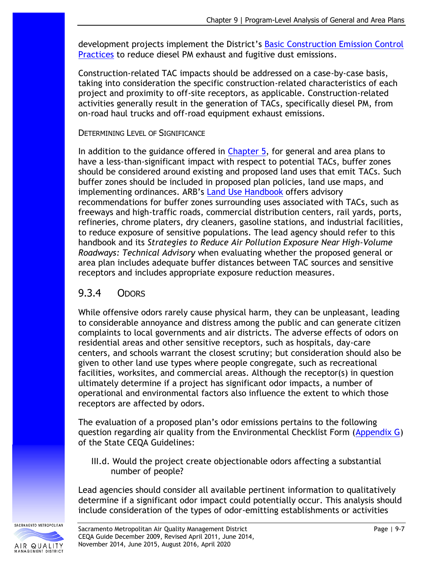development projects implement the District's [Basic Construction Emission Control](http://www.airquality.org/Businesses/CEQA-Land-Use-Planning/CEQA-Guidance-Tools)  [Practices](http://www.airquality.org/Businesses/CEQA-Land-Use-Planning/CEQA-Guidance-Tools) to reduce diesel PM exhaust and fugitive dust emissions.

Construction-related TAC impacts should be addressed on a case-by-case basis, taking into consideration the specific construction-related characteristics of each project and proximity to off-site receptors, as applicable. Construction-related activities generally result in the generation of TACs, specifically diesel PM, from on-road haul trucks and off-road equipment exhaust emissions.

#### DETERMINING LEVEL OF SIGNIFICANCE

In addition to the guidance offered in [Chapter 5,](http://www.airquality.org/Businesses/CEQA-Land-Use-Planning/CEQA-Guidance-Tools) for general and area plans to have a less-than-significant impact with respect to potential TACs, buffer zones should be considered around existing and proposed land uses that emit TACs. Such buffer zones should be included in proposed plan policies, land use maps, and implementing ordinances. ARB's [Land Use Handbook](https://ww3.arb.ca.gov/ch/landuse.htm) offers advisory recommendations for buffer zones surrounding uses associated with TACs, such as freeways and high-traffic roads, commercial distribution centers, rail yards, ports, refineries, chrome platers, dry cleaners, gasoline stations, and industrial facilities, to reduce exposure of sensitive populations. The lead agency should refer to this handbook and its *Strategies to Reduce Air Pollution Exposure Near High-Volume Roadways: Technical Advisory* when evaluating whether the proposed general or area plan includes adequate buffer distances between TAC sources and sensitive receptors and includes appropriate exposure reduction measures.

## 9.3.4 ODORS

While offensive odors rarely cause physical harm, they can be unpleasant, leading to considerable annoyance and distress among the public and can generate citizen complaints to local governments and air districts. The adverse effects of odors on residential areas and other sensitive receptors, such as hospitals, day-care centers, and schools warrant the closest scrutiny; but consideration should also be given to other land use types where people congregate, such as recreational facilities, worksites, and commercial areas. Although the receptor(s) in question ultimately determine if a project has significant odor impacts, a number of operational and environmental factors also influence the extent to which those receptors are affected by odors.

The evaluation of a proposed plan's odor emissions pertains to the following question regarding air quality from the Environmental Checklist Form [\(Appendix G\)](http://califaep.org/docs/2019-Appendix_G_Checklist.pdf) of the State CEQA Guidelines:

III.d. Would the project create objectionable odors affecting a substantial number of people?

Lead agencies should consider all available pertinent information to qualitatively determine if a significant odor impact could potentially occur. This analysis should include consideration of the types of odor-emitting establishments or activities

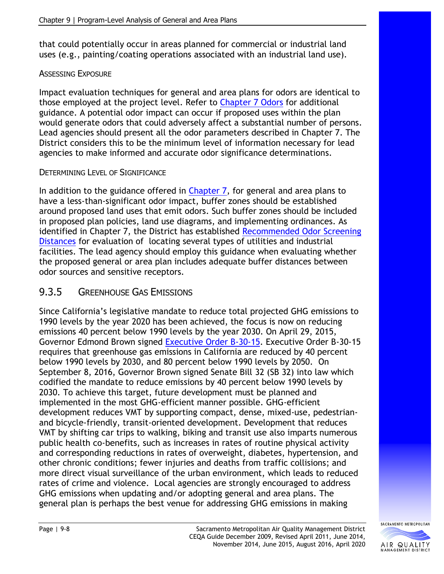that could potentially occur in areas planned for commercial or industrial land uses (e.g., painting/coating operations associated with an industrial land use).

#### ASSESSING EXPOSURE

Impact evaluation techniques for general and area plans for odors are identical to those employed at the project level. Refer to [Chapter 7 Odors](http://www.airquality.org/Businesses/CEQA-Land-Use-Planning/CEQA-Guidance-Tools) for additional guidance. A potential odor impact can occur if proposed uses within the plan would generate odors that could adversely affect a substantial number of persons. Lead agencies should present all the odor parameters described in Chapter 7. The District considers this to be the minimum level of information necessary for lead agencies to make informed and accurate odor significance determinations.

### DETERMINING LEVEL OF SIGNIFICANCE

In addition to the guidance offered in [Chapter 7,](http://www.airquality.org/Businesses/CEQA-Land-Use-Planning/CEQA-Guidance-Tools) for general and area plans to have a less-than-significant odor impact, buffer zones should be established around proposed land uses that emit odors. Such buffer zones should be included in proposed plan policies, land use diagrams, and implementing ordinances. As identified in Chapter 7, the District has established [Recommended Odor Screening](http://www.airquality.org/Businesses/CEQA-Land-Use-Planning/CEQA-Guidance-Tools)  [Distances](http://www.airquality.org/Businesses/CEQA-Land-Use-Planning/CEQA-Guidance-Tools) for evaluation of locating several types of utilities and industrial facilities. The lead agency should employ this guidance when evaluating whether the proposed general or area plan includes adequate buffer distances between odor sources and sensitive receptors.

## 9.3.5 GREENHOUSE GAS EMISSIONS

Since California's legislative mandate to reduce total projected GHG emissions to 1990 levels by the year 2020 has been achieved, the focus is now on reducing emissions 40 percent below 1990 levels by the year 2030. On April 29, 2015, Governor Edmond Brown signed [Executive Order B-30-15.](https://www.ca.gov/archive/gov39/2015/04/29/news18938/index.html) Executive Order B-30-15 requires that greenhouse gas emissions in California are reduced by 40 percent below 1990 levels by 2030, and 80 percent below 1990 levels by 2050. On September 8, 2016, Governor Brown signed Senate Bill 32 (SB 32) into law which codified the mandate to reduce emissions by 40 percent below 1990 levels by 2030. To achieve this target, future development must be planned and implemented in the most GHG-efficient manner possible. GHG-efficient development reduces VMT by supporting compact, dense, mixed-use, pedestrianand bicycle-friendly, transit-oriented development. Development that reduces VMT by shifting car trips to walking, biking and transit use also imparts numerous public health co-benefits, such as increases in rates of routine physical activity and corresponding reductions in rates of overweight, diabetes, hypertension, and other chronic conditions; fewer injuries and deaths from traffic collisions; and more direct visual surveillance of the urban environment, which leads to reduced rates of crime and violence. Local agencies are strongly encouraged to address GHG emissions when updating and/or adopting general and area plans. The general plan is perhaps the best venue for addressing GHG emissions in making

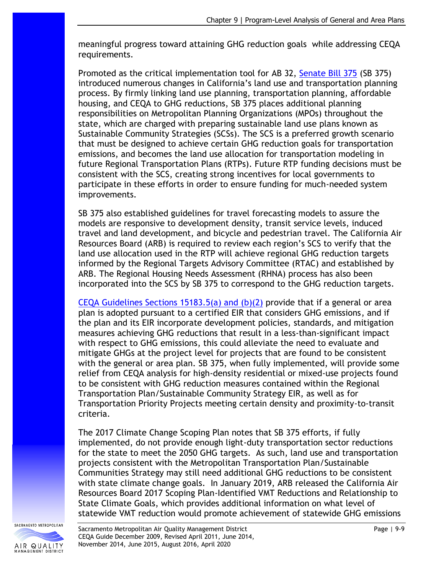meaningful progress toward attaining GHG reduction goals while addressing CEQA requirements.

Promoted as the critical implementation tool for AB 32, [Senate Bill 375](http://leginfo.ca.gov/pub/07-08/bill/sen/sb_0351-0400/sb_375_bill_20080930_chaptered.pdf) (SB 375) introduced numerous changes in California's land use and transportation planning process. By firmly linking land use planning, transportation planning, affordable housing, and CEQA to GHG reductions, SB 375 places additional planning responsibilities on Metropolitan Planning Organizations (MPOs) throughout the state, which are charged with preparing sustainable land use plans known as Sustainable Community Strategies (SCSs). The SCS is a preferred growth scenario that must be designed to achieve certain GHG reduction goals for transportation emissions, and becomes the land use allocation for transportation modeling in future Regional Transportation Plans (RTPs). Future RTP funding decisions must be consistent with the SCS, creating strong incentives for local governments to participate in these efforts in order to ensure funding for much-needed system improvements.

SB 375 also established guidelines for travel forecasting models to assure the models are responsive to development density, transit service levels, induced travel and land development, and bicycle and pedestrian travel. The California Air Resources Board (ARB) is required to review each region's SCS to verify that the land use allocation used in the RTP will achieve regional GHG reduction targets informed by the Regional Targets Advisory Committee (RTAC) and established by ARB. The Regional Housing Needs Assessment (RHNA) process has also been incorporated into the SCS by SB 375 to correspond to the GHG reduction targets.

[CEQA Guidelines Sections 15183.5\(a\) and \(b\)\(2\)](https://resources.ca.gov/About-Us/Legal/CEQA-Supplemental-Documents) provide that if a general or area plan is adopted pursuant to a certified EIR that considers GHG emissions, and if the plan and its EIR incorporate development policies, standards, and mitigation measures achieving GHG reductions that result in a less-than-significant impact with respect to GHG emissions, this could alleviate the need to evaluate and mitigate GHGs at the project level for projects that are found to be consistent with the general or area plan. SB 375, when fully implemented, will provide some relief from CEQA analysis for high-density residential or mixed-use projects found to be consistent with GHG reduction measures contained within the Regional Transportation Plan/Sustainable Community Strategy EIR, as well as for Transportation Priority Projects meeting certain density and proximity-to-transit criteria.

The 2017 Climate Change Scoping Plan notes that SB 375 efforts, if fully implemented, do not provide enough light-duty transportation sector reductions for the state to meet the 2050 GHG targets. As such, land use and transportation projects consistent with the Metropolitan Transportation Plan/Sustainable Communities Strategy may still need additional GHG reductions to be consistent with state climate change goals. In January 2019, ARB released the California Air Resources Board 2017 Scoping Plan-Identified VMT Reductions and Relationship to State Climate Goals, which provides additional information on what level of statewide VMT reduction would promote achievement of statewide GHG emissions

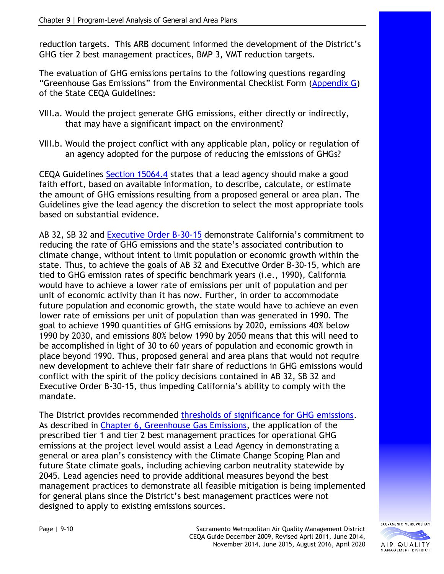reduction targets. This ARB document informed the development of the District's GHG tier 2 best management practices, BMP 3, VMT reduction targets.

The evaluation of GHG emissions pertains to the following questions regarding "Greenhouse Gas Emissions" from the Environmental Checklist Form [\(Appendix G\)](http://califaep.org/docs/2019-Appendix_G_Checklist.pdf) of the State CEQA Guidelines:

- VIII.a. Would the project generate GHG emissions, either directly or indirectly, that may have a significant impact on the environment?
- VIII.b. Would the project conflict with any applicable plan, policy or regulation of an agency adopted for the purpose of reducing the emissions of GHGs?

CEQA Guidelines [Section 15064.4](https://resources.ca.gov/About-Us/Legal/CEQA-Supplemental-Documents) states that a lead agency should make a good faith effort, based on available information, to describe, calculate, or estimate the amount of GHG emissions resulting from a proposed general or area plan. The Guidelines give the lead agency the discretion to select the most appropriate tools based on substantial evidence.

AB 32, SB 32 and [Executive Order B-30-15](https://www.ca.gov/archive/gov39/2015/04/29/news18938/index.html) demonstrate California's commitment to reducing the rate of GHG emissions and the state's associated contribution to climate change, without intent to limit population or economic growth within the state. Thus, to achieve the goals of AB 32 and Executive Order B-30-15, which are tied to GHG emission rates of specific benchmark years (i.e., 1990), California would have to achieve a lower rate of emissions per unit of population and per unit of economic activity than it has now. Further, in order to accommodate future population and economic growth, the state would have to achieve an even lower rate of emissions per unit of population than was generated in 1990. The goal to achieve 1990 quantities of GHG emissions by 2020, emissions 40% below 1990 by 2030, and emissions 80% below 1990 by 2050 means that this will need to be accomplished in light of 30 to 60 years of population and economic growth in place beyond 1990. Thus, proposed general and area plans that would not require new development to achieve their fair share of reductions in GHG emissions would conflict with the spirit of the policy decisions contained in AB 32, SB 32 and Executive Order B-30-15, thus impeding California's ability to comply with the mandate.

The District provides recommended [thresholds of significance for GHG emissions.](http://www.airquality.org/Businesses/CEQA-Land-Use-Planning/CEQA-Guidance-Tools) As described in [Chapter 6, Greenhouse Gas](http://www.airquality.org/Residents/CEQA-Land-Use-Planning/CEQA-Guidance-Tools) Emissions, the application of the prescribed tier 1 and tier 2 best management practices for operational GHG emissions at the project level would assist a Lead Agency in demonstrating a general or area plan's consistency with the Climate Change Scoping Plan and future State climate goals, including achieving carbon neutrality statewide by 2045. Lead agencies need to provide additional measures beyond the best management practices to demonstrate all feasible mitigation is being implemented for general plans since the District's best management practices were not designed to apply to existing emissions sources.

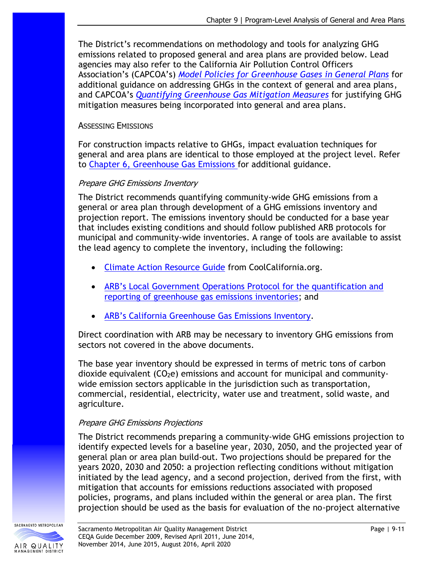The District's recommendations on methodology and tools for analyzing GHG emissions related to proposed general and area plans are provided below. Lead agencies may also refer to the California Air Pollution Control Officers Association's (CAPCOA's) *[Model Policies for Greenhouse Gases](http://www.capcoa.org/wp-content/uploads/2012/03/CAPCOA-ModelPolicies-6-12-09-915am.pdf) in General Plans* for additional guidance on addressing GHGs in the context of general and area plans, and CAPCOA's *[Quantifying Greenhouse Gas Mitigation Measures](http://www.capcoa.org/wp-content/uploads/2010/11/CAPCOA-Quantification-Report-9-14-Final.pdf)* for justifying GHG mitigation measures being incorporated into general and area plans.

#### ASSESSING EMISSIONS

For construction impacts relative to GHGs, impact evaluation techniques for general and area plans are identical to those employed at the project level. Refer to Chapter 6, [Greenhouse Gas Emissions f](http://www.airquality.org/Businesses/CEQA-Land-Use-Planning/CEQA-Guidance-Tools)or additional guidance.

#### Prepare GHG Emissions Inventory

The District recommends quantifying community-wide GHG emissions from a general or area plan through development of a GHG emissions inventory and projection report. The emissions inventory should be conducted for a base year that includes existing conditions and should follow published ARB protocols for municipal and community-wide inventories. A range of tools are available to assist the lead agency to complete the inventory, including the following:

- [Climate Action Resource Guide](https://coolcalifornia.arb.ca.gov/local-government/toolkit) from CoolCalifornia.org.
- [ARB's Local Government Operations Protocol for the quantification and](http://www.arb.ca.gov/cc/protocols/localgov/localgov.htm)  [reporting of greenhouse gas emissions inventories;](http://www.arb.ca.gov/cc/protocols/localgov/localgov.htm) and
- ARB's Californi[a Greenhouse Gas Emissions Inventory.](http://www.arb.ca.gov/cc/inventory/inventory.htm)

Direct coordination with ARB may be necessary to inventory GHG emissions from sectors not covered in the above documents.

The base year inventory should be expressed in terms of metric tons of carbon dioxide equivalent  $(CO<sub>2</sub>e)$  emissions and account for municipal and communitywide emission sectors applicable in the jurisdiction such as transportation, commercial, residential, electricity, water use and treatment, solid waste, and agriculture.

### Prepare GHG Emissions Projections

The District recommends preparing a community-wide GHG emissions projection to identify expected levels for a baseline year, 2030, 2050, and the projected year of general plan or area plan build-out. Two projections should be prepared for the years 2020, 2030 and 2050: a projection reflecting conditions without mitigation initiated by the lead agency, and a second projection, derived from the first, with mitigation that accounts for emissions reductions associated with proposed policies, programs, and plans included within the general or area plan. The first projection should be used as the basis for evaluation of the no-project alternative

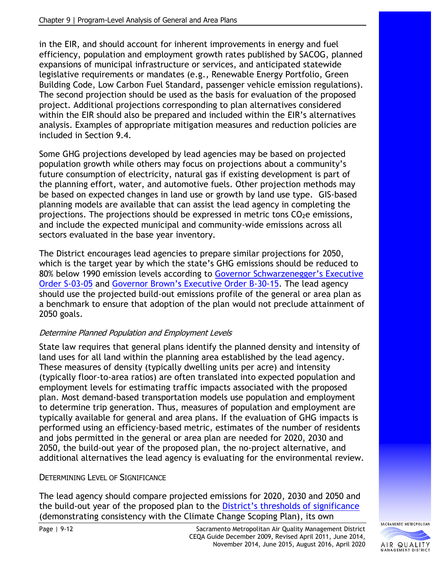in the EIR, and should account for inherent improvements in energy and fuel efficiency, population and employment growth rates published by SACOG, planned expansions of municipal infrastructure or services, and anticipated statewide legislative requirements or mandates (e.g., Renewable Energy Portfolio, Green Building Code, Low Carbon Fuel Standard, passenger vehicle emission regulations). The second projection should be used as the basis for evaluation of the proposed project. Additional projections corresponding to plan alternatives considered within the EIR should also be prepared and included within the EIR's alternatives analysis. Examples of appropriate mitigation measures and reduction policies are included in Section 9.4.

Some GHG projections developed by lead agencies may be based on projected population growth while others may focus on projections about a community's future consumption of electricity, natural gas if existing development is part of the planning effort, water, and automotive fuels. Other projection methods may be based on expected changes in land use or growth by land use type. GIS-based planning models are available that can assist the lead agency in completing the projections. The projections should be expressed in metric tons CO<sub>2</sub>e emissions, and include the expected municipal and community-wide emissions across all sectors evaluated in the base year inventory.

The District encourages lead agencies to prepare similar projections for 2050, which is the target year by which the state's GHG emissions should be reduced to 80% below 1990 emission levels according to [Governor Schwarzenegger's Executive](http://static1.squarespace.com/static/549885d4e4b0ba0bff5dc695/t/54d7f1e0e4b0f0798cee3010/1423438304744/California+Executive+Order+S-3-05+(June+2005).pdf)  [Order S-03-05](http://static1.squarespace.com/static/549885d4e4b0ba0bff5dc695/t/54d7f1e0e4b0f0798cee3010/1423438304744/California+Executive+Order+S-3-05+(June+2005).pdf) and [Governor Brown's Executive Order B](https://www.ca.gov/archive/gov39/2015/04/29/news18938/index.html)-30-15. The lead agency should use the projected build-out emissions profile of the general or area plan as a benchmark to ensure that adoption of the plan would not preclude attainment of 2050 goals.

### Determine Planned Population and Employment Levels

State law requires that general plans identify the planned density and intensity of land uses for all land within the planning area established by the lead agency. These measures of density (typically dwelling units per acre) and intensity (typically floor-to-area ratios) are often translated into expected population and employment levels for estimating traffic impacts associated with the proposed plan. Most demand-based transportation models use population and employment to determine trip generation. Thus, measures of population and employment are typically available for general and area plans. If the evaluation of GHG impacts is performed using an efficiency-based metric, estimates of the number of residents and jobs permitted in the general or area plan are needed for 2020, 2030 and 2050, the build-out year of the proposed plan, the no-project alternative, and additional alternatives the lead agency is evaluating for the environmental review.

### DETERMINING LEVEL OF SIGNIFICANCE

The lead agency should compare projected emissions for 2020, 2030 and 2050 and the build-out year of the proposed plan to the [District's thresholds of significance](http://www.airquality.org/Residents/CEQA-Land-Use-Planning/CEQA-Guidance-Tools) (demonstrating consistency with the Climate Change Scoping Plan), its own

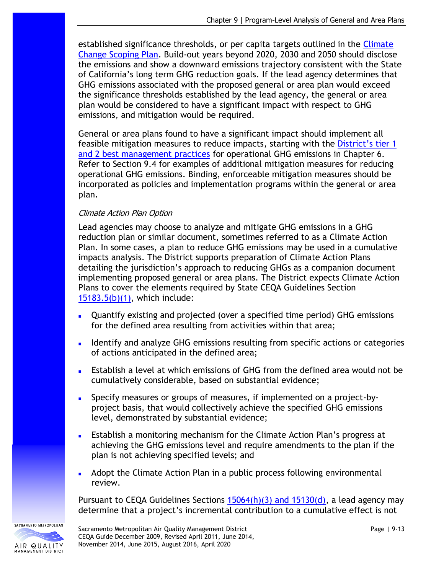established significance thresholds, or per capita targets outlined in the [Climate](https://ww3.arb.ca.gov/cc/scopingplan/scopingplan.htm)  [Change Scoping Plan.](https://ww3.arb.ca.gov/cc/scopingplan/scopingplan.htm) Build-out years beyond 2020, 2030 and 2050 should disclose the emissions and show a downward emissions trajectory consistent with the State of California's long term GHG reduction goals. If the lead agency determines that GHG emissions associated with the proposed general or area plan would exceed the significance thresholds established by the lead agency, the general or area plan would be considered to have a significant impact with respect to GHG emissions, and mitigation would be required.

General or area plans found to have a significant impact should implement all feasible mitigation measures to reduce impacts, starting with the [District](http://www.airquality.org/Residents/CEQA-Land-Use-Planning/CEQA-Guidance-Tools)'s tier 1 [and 2 best management practices](http://www.airquality.org/Residents/CEQA-Land-Use-Planning/CEQA-Guidance-Tools) for operational GHG emissions in Chapter 6. Refer to Section 9.4 for examples of additional mitigation measures for reducing operational GHG emissions. Binding, enforceable mitigation measures should be incorporated as policies and implementation programs within the general or area plan.

#### Climate Action Plan Option

Lead agencies may choose to analyze and mitigate GHG emissions in a GHG reduction plan or similar document, sometimes referred to as a Climate Action Plan. In some cases, a plan to reduce GHG emissions may be used in a cumulative impacts analysis. The District supports preparation of Climate Action Plans detailing the jurisdiction's approach to reducing GHGs as a companion document implementing proposed general or area plans. The District expects Climate Action Plans to cover the elements required by State CEQA Guidelines Section [15183.5\(b\)\(1\),](https://resources.ca.gov/About-Us/Legal/CEQA-Supplemental-Documents) which include:

- Quantify existing and projected (over a specified time period) GHG emissions for the defined area resulting from activities within that area;
- **■** Identify and analyze GHG emissions resulting from specific actions or categories of actions anticipated in the defined area;
- Establish a level at which emissions of GHG from the defined area would not be cumulatively considerable, based on substantial evidence;
- **■** Specify measures or groups of measures, if implemented on a project-byproject basis, that would collectively achieve the specified GHG emissions level, demonstrated by substantial evidence;
- Establish a monitoring mechanism for the Climate Action Plan's progress at achieving the GHG emissions level and require amendments to the plan if the plan is not achieving specified levels; and
- Adopt the Climate Action Plan in a public process following environmental review.

Pursuant to CEQA Guidelines Sections  $15064(h)(3)$  and  $15130(d)$ , a lead agency may determine that a project's incremental contribution to a cumulative effect is not

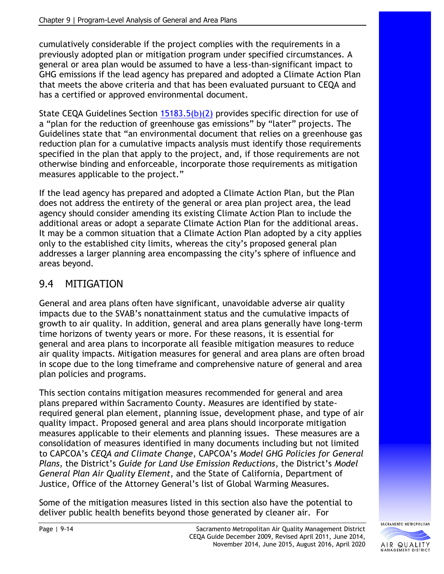cumulatively considerable if the project complies with the requirements in a previously adopted plan or mitigation program under specified circumstances. A general or area plan would be assumed to have a less-than-significant impact to GHG emissions if the lead agency has prepared and adopted a Climate Action Plan that meets the above criteria and that has been evaluated pursuant to CEQA and has a certified or approved environmental document.

State CEQA Guidelines Section [15183.5\(b\)\(2\)](https://resources.ca.gov/About-Us/Legal/CEQA-Supplemental-Documents) provides specific direction for use of a "plan for the reduction of greenhouse gas emissions" by "later" projects. The Guidelines state that "an environmental document that relies on a greenhouse gas reduction plan for a cumulative impacts analysis must identify those requirements specified in the plan that apply to the project, and, if those requirements are not otherwise binding and enforceable, incorporate those requirements as mitigation measures applicable to the project."

If the lead agency has prepared and adopted a Climate Action Plan, but the Plan does not address the entirety of the general or area plan project area, the lead agency should consider amending its existing Climate Action Plan to include the additional areas or adopt a separate Climate Action Plan for the additional areas. It may be a common situation that a Climate Action Plan adopted by a city applies only to the established city limits, whereas the city's proposed general plan addresses a larger planning area encompassing the city's sphere of influence and areas beyond.

# 9.4 MITIGATION

General and area plans often have significant, unavoidable adverse air quality impacts due to the SVAB's nonattainment status and the cumulative impacts of growth to air quality. In addition, general and area plans generally have long-term time horizons of twenty years or more. For these reasons, it is essential for general and area plans to incorporate all feasible mitigation measures to reduce air quality impacts. Mitigation measures for general and area plans are often broad in scope due to the long timeframe and comprehensive nature of general and area plan policies and programs.

This section contains mitigation measures recommended for general and area plans prepared within Sacramento County. Measures are identified by staterequired general plan element, planning issue, development phase, and type of air quality impact. Proposed general and area plans should incorporate mitigation measures applicable to their elements and planning issues. These measures are a consolidation of measures identified in many documents including but not limited to CAPCOA's *CEQA and Climate Change*, CAPCOA's *Model GHG Policies for General Plans,* the District's *Guide for Land Use Emission Reductions*, the District's *Model General Plan Air Quality Element*, and the State of California, Department of Justice, Office of the Attorney General's list of Global Warming Measures.

Some of the mitigation measures listed in this section also have the potential to deliver public health benefits beyond those generated by cleaner air. For

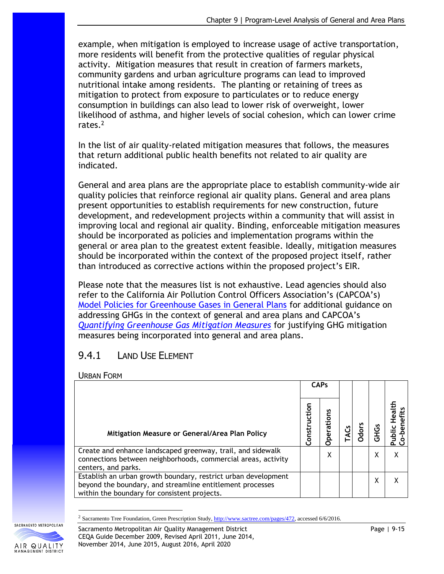example, when mitigation is employed to increase usage of active transportation, more residents will benefit from the protective qualities of regular physical activity. Mitigation measures that result in creation of farmers markets, community gardens and urban agriculture programs can lead to improved nutritional intake among residents. The planting or retaining of trees as mitigation to protect from exposure to particulates or to reduce energy consumption in buildings can also lead to lower risk of overweight, lower likelihood of asthma, and higher levels of social cohesion, which can lower crime rates. 2

In the list of air quality-related mitigation measures that follows, the measures that return additional public health benefits not related to air quality are indicated.

General and area plans are the appropriate place to establish community-wide air quality policies that reinforce regional air quality plans. General and area plans present opportunities to establish requirements for new construction, future development, and redevelopment projects within a community that will assist in improving local and regional air quality. Binding, enforceable mitigation measures should be incorporated as policies and implementation programs within the general or area plan to the greatest extent feasible. Ideally, mitigation measures should be incorporated within the context of the proposed project itself, rather than introduced as corrective actions within the proposed project's EIR.

Please note that the measures list is not exhaustive. Lead agencies should also refer to the California Air Pollution Control Officers Association's (CAPCOA's) [Model Policies for Greenhouse Gases in General Plans](http://www.capcoa.org/wp-content/uploads/downloads/2010/05/CAPCOA-ModelPolicies-6-12-09-915am.pdf) for additional guidance on addressing GHGs in the context of general and area plans and CAPCOA's *[Quantifying Greenhouse Gas Mitigation Measures](http://www.capcoa.org/wp-content/uploads/2010/11/CAPCOA-Quantification-Report-9-14-Final.pdf)* for justifying GHG mitigation measures being incorporated into general and area plans.

## 9.4.1 LAND USE ELEMENT

URBAN FORM

|                                                                                                                                                                             | <b>CAPs</b>  |        |              |          |  |  |  |
|-----------------------------------------------------------------------------------------------------------------------------------------------------------------------------|--------------|--------|--------------|----------|--|--|--|
| Mitigation Measure or General/Area Plan Policy                                                                                                                              | Construction | ations | <b>Odors</b> | <u>ی</u> |  |  |  |
| Create and enhance landscaped greenway, trail, and sidewalk<br>connections between neighborhoods, commercial areas, activity<br>centers, and parks.                         |              | χ      |              | χ        |  |  |  |
| Establish an urban growth boundary, restrict urban development<br>beyond the boundary, and streamline entitlement processes<br>within the boundary for consistent projects. |              |        |              | χ        |  |  |  |

<sup>&</sup>lt;sup>2</sup> Sacramento Tree Foundation, Green Prescription Study[, http://www.sactree.com/pages/472,](http://www.sactree.com/pages/472) accessed 6/6/2016.





SACRAMENTO METROPOLITAN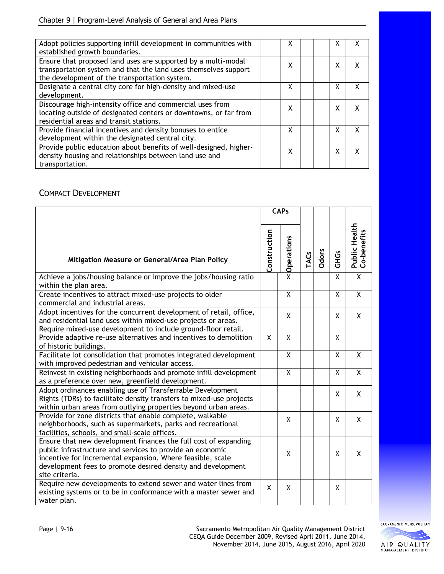| Adopt policies supporting infill development in communities with<br>established growth boundaries.                                                                                | х |   |   |
|-----------------------------------------------------------------------------------------------------------------------------------------------------------------------------------|---|---|---|
| Ensure that proposed land uses are supported by a multi-modal<br>transportation system and that the land uses themselves support<br>the development of the transportation system. | χ | X |   |
| Designate a central city core for high-density and mixed-use<br>development.                                                                                                      | χ | x | x |
| Discourage high-intensity office and commercial uses from<br>locating outside of designated centers or downtowns, or far from<br>residential areas and transit stations.          | χ | x |   |
| Provide financial incentives and density bonuses to entice<br>development within the designated central city.                                                                     | χ | x | x |
| Provide public education about benefits of well-designed, higher-<br>density housing and relationships between land use and<br>transportation.                                    | χ | x |   |

#### COMPACT DEVELOPMENT

|                                                                                                                                                                                                                                                                             | <b>CAPs</b>  |                         |             |       |                |                                     |
|-----------------------------------------------------------------------------------------------------------------------------------------------------------------------------------------------------------------------------------------------------------------------------|--------------|-------------------------|-------------|-------|----------------|-------------------------------------|
| Mitigation Measure or General/Area Plan Policy                                                                                                                                                                                                                              | Construction | <b>×</b> Operations     | <b>TACs</b> | Odors | <b>GHGs</b>    | <b>Public Health</b><br>Co-benefits |
| Achieve a jobs/housing balance or improve the jobs/housing ratio<br>within the plan area.                                                                                                                                                                                   |              |                         |             |       | X              | $\overline{X}$                      |
| Create incentives to attract mixed-use projects to older<br>commercial and industrial areas.                                                                                                                                                                                |              | $\overline{\mathsf{x}}$ |             |       | $\overline{X}$ | $\overline{\mathsf{X}}$             |
| Adopt incentives for the concurrent development of retail, office,<br>and residential land uses within mixed-use projects or areas.<br>Require mixed-use development to include ground-floor retail.                                                                        |              | χ                       |             |       | X              | X                                   |
| Provide adaptive re-use alternatives and incentives to demolition<br>of historic buildings.                                                                                                                                                                                 | X            | Χ                       |             |       | X              |                                     |
| Facilitate lot consolidation that promotes integrated development<br>with improved pedestrian and vehicular access.                                                                                                                                                         |              | Χ                       |             |       | X              | X                                   |
| Reinvest in existing neighborhoods and promote infill development<br>as a preference over new, greenfield development.                                                                                                                                                      |              | $\overline{\mathsf{x}}$ |             |       | X              | $\overline{\mathsf{X}}$             |
| Adopt ordinances enabling use of Transferrable Development<br>Rights (TDRs) to facilitate density transfers to mixed-use projects<br>within urban areas from outlying properties beyond urban areas.                                                                        |              |                         |             |       | X              | X                                   |
| Provide for zone districts that enable complete, walkable<br>neighborhoods, such as supermarkets, parks and recreational<br>facilities, schools, and small-scale offices.                                                                                                   |              | X                       |             |       | X              | X                                   |
| Ensure that new development finances the full cost of expanding<br>public infrastructure and services to provide an economic<br>incentive for incremental expansion. Where feasible, scale<br>development fees to promote desired density and development<br>site criteria. |              | X                       |             |       | X              | X                                   |
| Require new developments to extend sewer and water lines from<br>existing systems or to be in conformance with a master sewer and<br>water plan.                                                                                                                            | X            | χ                       |             |       | X              |                                     |



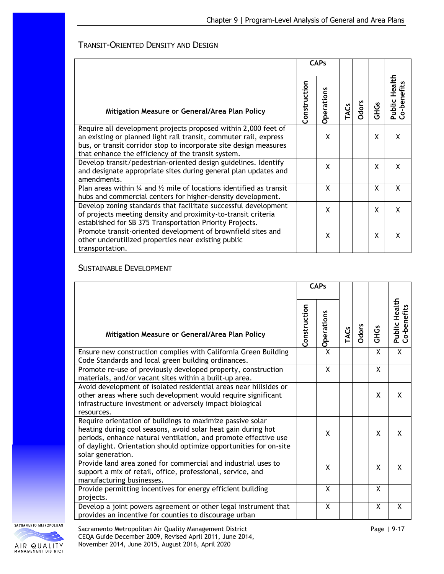#### TRANSIT-ORIENTED DENSITY AND DESIGN

|                                                                                                                                                                                                                                                                | <b>CAPs</b>  |                   |     |              |             |                                              |  |  |  |  |  |  |  |  |
|----------------------------------------------------------------------------------------------------------------------------------------------------------------------------------------------------------------------------------------------------------------|--------------|-------------------|-----|--------------|-------------|----------------------------------------------|--|--|--|--|--|--|--|--|
| Mitigation Measure or General/Area Plan Policy                                                                                                                                                                                                                 | Construction | <b>Operations</b> | ACs | <b>Odors</b> | <b>SSHI</b> | Health<br><b>Public Healt</b><br>Co-benefits |  |  |  |  |  |  |  |  |
| Require all development projects proposed within 2,000 feet of<br>an existing or planned light rail transit, commuter rail, express<br>bus, or transit corridor stop to incorporate site design measures<br>that enhance the efficiency of the transit system. |              | X                 |     |              | X           | X                                            |  |  |  |  |  |  |  |  |
| Develop transit/pedestrian-oriented design guidelines. Identify<br>and designate appropriate sites during general plan updates and<br>amendments.                                                                                                              |              | X                 |     |              | X           | X                                            |  |  |  |  |  |  |  |  |
| Plan areas within $\frac{1}{4}$ and $\frac{1}{2}$ mile of locations identified as transit<br>hubs and commercial centers for higher-density development.                                                                                                       |              | X                 |     |              | X           | X                                            |  |  |  |  |  |  |  |  |
| Develop zoning standards that facilitate successful development<br>of projects meeting density and proximity-to-transit criteria<br>established for SB 375 Transportation Priority Projects.                                                                   |              | X                 |     |              | X           | X                                            |  |  |  |  |  |  |  |  |
| Promote transit-oriented development of brownfield sites and<br>other underutilized properties near existing public<br>transportation.                                                                                                                         |              | X                 |     |              | X           | X                                            |  |  |  |  |  |  |  |  |

#### SUSTAINABLE DEVELOPMENT

|                                                                                                                                                                                                                                                                                           | <b>CAPs</b>  |            |             |       |             |                              |  |  |
|-------------------------------------------------------------------------------------------------------------------------------------------------------------------------------------------------------------------------------------------------------------------------------------------|--------------|------------|-------------|-------|-------------|------------------------------|--|--|
| Mitigation Measure or General/Area Plan Policy                                                                                                                                                                                                                                            | Construction | Operations | <b>TACs</b> | Odors | <b>GHGS</b> | Public Health<br>Co-benefits |  |  |
| Ensure new construction complies with California Green Building<br>Code Standards and local green building ordinances.                                                                                                                                                                    |              | X          |             |       | X           | $\overline{X}$               |  |  |
| Promote re-use of previously developed property, construction<br>materials, and/or vacant sites within a built-up area.                                                                                                                                                                   |              | X          |             |       | X           |                              |  |  |
| Avoid development of isolated residential areas near hillsides or<br>other areas where such development would require significant<br>infrastructure investment or adversely impact biological<br>resources.                                                                               |              |            |             |       | X           | X                            |  |  |
| Require orientation of buildings to maximize passive solar<br>heating during cool seasons, avoid solar heat gain during hot<br>periods, enhance natural ventilation, and promote effective use<br>of daylight. Orientation should optimize opportunities for on-site<br>solar generation. |              | X          |             |       | X           | X                            |  |  |
| Provide land area zoned for commercial and industrial uses to<br>support a mix of retail, office, professional, service, and<br>manufacturing businesses.                                                                                                                                 |              | X          |             |       | X           | X                            |  |  |
| Provide permitting incentives for energy efficient building<br>projects.                                                                                                                                                                                                                  |              | X          |             |       | X           |                              |  |  |
| Develop a joint powers agreement or other legal instrument that<br>provides an incentive for counties to discourage urban                                                                                                                                                                 |              | X          |             |       | X           | X                            |  |  |



SACRAMENTO METROPOLITAN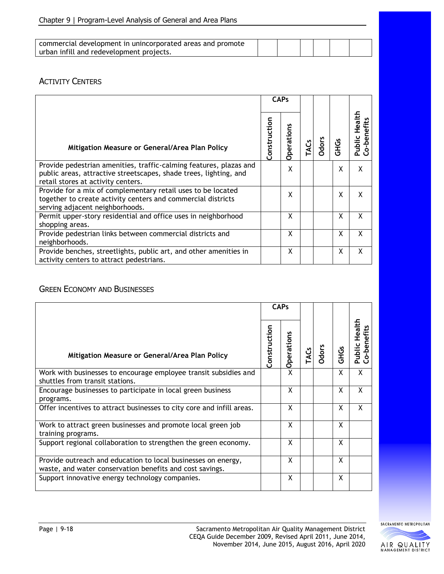| commercial development in unincorporated areas and promote |  |  |  |
|------------------------------------------------------------|--|--|--|
| urban infill and redevelopment projects.                   |  |  |  |

#### **ACTIVITY CENTERS**

|                                                                                                                                                                               |              | <b>CAPs</b>       |             |              |             |                                       |
|-------------------------------------------------------------------------------------------------------------------------------------------------------------------------------|--------------|-------------------|-------------|--------------|-------------|---------------------------------------|
| Mitigation Measure or General/Area Plan Policy                                                                                                                                | Construction | <b>Operations</b> | <b>TACs</b> | <b>Odors</b> | <b>GHGS</b> | Health<br>Public Healt<br>Co-benefits |
| Provide pedestrian amenities, traffic-calming features, plazas and<br>public areas, attractive streetscapes, shade trees, lighting, and<br>retail stores at activity centers. |              | X                 |             |              | x           | X                                     |
| Provide for a mix of complementary retail uses to be located<br>together to create activity centers and commercial districts<br>serving adjacent neighborhoods.               |              | X                 |             |              | X           | X                                     |
| Permit upper-story residential and office uses in neighborhood<br>shopping areas.                                                                                             |              | X                 |             |              | X           | X                                     |
| Provide pedestrian links between commercial districts and<br>neighborhoods.                                                                                                   |              | X                 |             |              | X           | X                                     |
| Provide benches, streetlights, public art, and other amenities in<br>activity centers to attract pedestrians.                                                                 |              | X                 |             |              | X           | X                                     |

#### GREEN ECONOMY AND BUSINESSES

|                                                                                                                           | <b>CAPs</b>  |                   |      |              |             |                                    |  |  |  |  |  |  |
|---------------------------------------------------------------------------------------------------------------------------|--------------|-------------------|------|--------------|-------------|------------------------------------|--|--|--|--|--|--|
| Mitigation Measure or General/Area Plan Policy                                                                            | Construction | <b>Operations</b> | TACS | <b>Odors</b> | <b>GHGS</b> | <b>Public Health</b><br>o-benefits |  |  |  |  |  |  |
| Work with businesses to encourage employee transit subsidies and<br>shuttles from transit stations.                       |              | X                 |      |              | X           | X                                  |  |  |  |  |  |  |
| Encourage businesses to participate in local green business<br>programs.                                                  |              | X                 |      |              | X           | X                                  |  |  |  |  |  |  |
| Offer incentives to attract businesses to city core and infill areas.                                                     |              | X                 |      |              | X           | X                                  |  |  |  |  |  |  |
| Work to attract green businesses and promote local green job<br>training programs.                                        |              | X                 |      |              | X           |                                    |  |  |  |  |  |  |
| Support regional collaboration to strengthen the green economy.                                                           |              | X                 |      |              | X           |                                    |  |  |  |  |  |  |
| Provide outreach and education to local businesses on energy,<br>waste, and water conservation benefits and cost savings. |              | X                 |      |              | X           |                                    |  |  |  |  |  |  |
| Support innovative energy technology companies.                                                                           |              | X                 |      |              | X           |                                    |  |  |  |  |  |  |

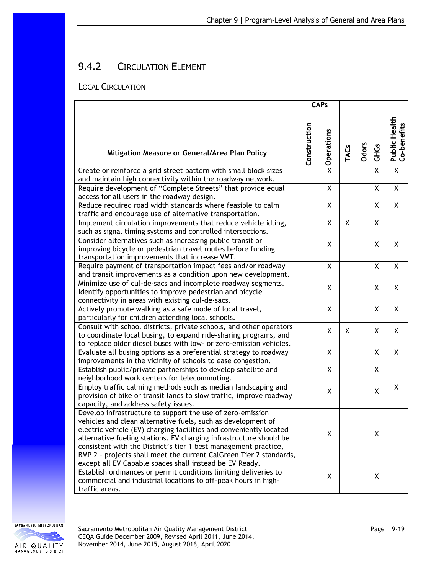# 9.4.2 CIRCULATION ELEMENT

#### LOCAL CIRCULATION

|                                                                                                                                                                                                                                                                                                                                                                                                                                                                            | <b>CAPs</b>  |            |             |       |             |                                     |  |  |  |  |
|----------------------------------------------------------------------------------------------------------------------------------------------------------------------------------------------------------------------------------------------------------------------------------------------------------------------------------------------------------------------------------------------------------------------------------------------------------------------------|--------------|------------|-------------|-------|-------------|-------------------------------------|--|--|--|--|
| Mitigation Measure or General/Area Plan Policy                                                                                                                                                                                                                                                                                                                                                                                                                             | Construction | Operations | <b>TACs</b> | Odors | <b>GHGS</b> | <b>Public Health</b><br>Co-benefits |  |  |  |  |
| Create or reinforce a grid street pattern with small block sizes<br>and maintain high connectivity within the roadway network.                                                                                                                                                                                                                                                                                                                                             |              | X          |             |       | χ           | $\overline{\mathsf{X}}$             |  |  |  |  |
| Require development of "Complete Streets" that provide equal<br>access for all users in the roadway design.                                                                                                                                                                                                                                                                                                                                                                |              | X          |             |       | Χ           | $\overline{X}$                      |  |  |  |  |
| Reduce required road width standards where feasible to calm<br>traffic and encourage use of alternative transportation.                                                                                                                                                                                                                                                                                                                                                    |              | X          |             |       | X           | X                                   |  |  |  |  |
| Implement circulation improvements that reduce vehicle idling,<br>such as signal timing systems and controlled intersections.                                                                                                                                                                                                                                                                                                                                              |              | X          | Χ           |       | X           |                                     |  |  |  |  |
| Consider alternatives such as increasing public transit or<br>improving bicycle or pedestrian travel routes before funding<br>transportation improvements that increase VMT.                                                                                                                                                                                                                                                                                               |              | X          |             |       | Χ           | Χ                                   |  |  |  |  |
| Require payment of transportation impact fees and/or roadway<br>and transit improvements as a condition upon new development.                                                                                                                                                                                                                                                                                                                                              |              | X          |             |       | Χ           | X                                   |  |  |  |  |
| Minimize use of cul-de-sacs and incomplete roadway segments.<br>Identify opportunities to improve pedestrian and bicycle<br>connectivity in areas with existing cul-de-sacs.                                                                                                                                                                                                                                                                                               |              | X          |             |       | χ           | X                                   |  |  |  |  |
| Actively promote walking as a safe mode of local travel,<br>particularly for children attending local schools.                                                                                                                                                                                                                                                                                                                                                             |              | Χ          |             |       | Χ           | X                                   |  |  |  |  |
| Consult with school districts, private schools, and other operators<br>to coordinate local busing, to expand ride-sharing programs, and<br>to replace older diesel buses with low- or zero-emission vehicles.                                                                                                                                                                                                                                                              |              | X          | X           |       | X           | X                                   |  |  |  |  |
| Evaluate all busing options as a preferential strategy to roadway<br>improvements in the vicinity of schools to ease congestion.                                                                                                                                                                                                                                                                                                                                           |              | X          |             |       | Χ           | Χ                                   |  |  |  |  |
| Establish public/private partnerships to develop satellite and<br>neighborhood work centers for telecommuting.                                                                                                                                                                                                                                                                                                                                                             |              | X          |             |       | χ           |                                     |  |  |  |  |
| Employ traffic calming methods such as median landscaping and<br>provision of bike or transit lanes to slow traffic, improve roadway<br>capacity, and address safety issues.                                                                                                                                                                                                                                                                                               |              | X          |             |       | X           | Χ                                   |  |  |  |  |
| Develop infrastructure to support the use of zero-emission<br>vehicles and clean alternative fuels, such as development of<br>electric vehicle (EV) charging facilities and conveniently located<br>alternative fueling stations. EV charging infrastructure should be<br>consistent with the District's tier 1 best management practice,<br>BMP 2 - projects shall meet the current CalGreen Tier 2 standards,<br>except all EV Capable spaces shall instead be EV Ready. |              | X          |             |       | Χ           |                                     |  |  |  |  |
| Establish ordinances or permit conditions limiting deliveries to<br>commercial and industrial locations to off-peak hours in high-<br>traffic areas.                                                                                                                                                                                                                                                                                                                       |              | X          |             |       | X           |                                     |  |  |  |  |

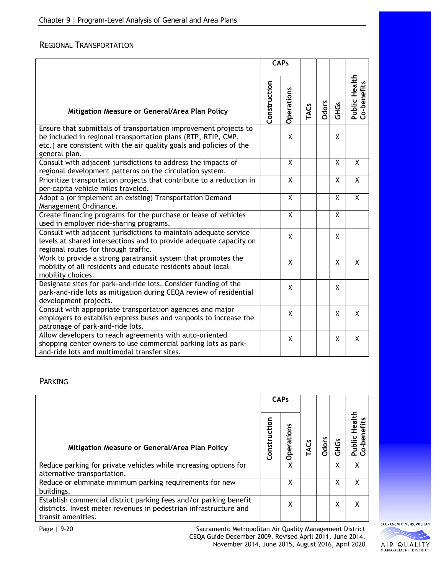#### REGIONAL TRANSPORTATION

|                                                                                                                                                                                                                           | <b>CAPs</b>  |            |      |              |                |                                     |  |  |  |  |
|---------------------------------------------------------------------------------------------------------------------------------------------------------------------------------------------------------------------------|--------------|------------|------|--------------|----------------|-------------------------------------|--|--|--|--|
| Mitigation Measure or General/Area Plan Policy                                                                                                                                                                            | Construction | Operations | TACS | <b>Odors</b> | <b>GHGS</b>    | <b>Public Health</b><br>Co-benefits |  |  |  |  |
| Ensure that submittals of transportation improvement projects to<br>be included in regional transportation plans (RTP, RTIP, CMP,<br>etc.) are consistent with the air quality goals and policies of the<br>general plan. |              | X          |      |              | X              |                                     |  |  |  |  |
| Consult with adjacent jurisdictions to address the impacts of<br>regional development patterns on the circulation system.                                                                                                 |              | X          |      |              | $\overline{X}$ | X                                   |  |  |  |  |
| Prioritize transportation projects that contribute to a reduction in<br>per-capita vehicle miles traveled.                                                                                                                |              | X          |      |              | X              | $\overline{X}$                      |  |  |  |  |
| Adopt a (or implement an existing) Transportation Demand<br>Management Ordinance.                                                                                                                                         |              | X          |      |              | X              | $\overline{X}$                      |  |  |  |  |
| Create financing programs for the purchase or lease of vehicles<br>used in employer ride-sharing programs.                                                                                                                |              | X          |      |              | X              |                                     |  |  |  |  |
| Consult with adjacent jurisdictions to maintain adequate service<br>levels at shared intersections and to provide adequate capacity on<br>regional routes for through traffic.                                            |              | X          |      |              | X              |                                     |  |  |  |  |
| Work to provide a strong paratransit system that promotes the<br>mobility of all residents and educate residents about local<br>mobility choices.                                                                         |              | X          |      |              | X              | X                                   |  |  |  |  |
| Designate sites for park-and-ride lots. Consider funding of the<br>park-and-ride lots as mitigation during CEQA review of residential<br>development projects.                                                            |              | X          |      |              | X              |                                     |  |  |  |  |
| Consult with appropriate transportation agencies and major<br>employers to establish express buses and vanpools to increase the<br>patronage of park-and-ride lots.                                                       |              | X          |      |              | X              | X                                   |  |  |  |  |
| Allow developers to reach agreements with auto-oriented<br>shopping center owners to use commercial parking lots as park-<br>and-ride lots and multimodal transfer sites.                                                 |              | X          |      |              | X              | X                                   |  |  |  |  |

#### PARKING

|                                                                                                                                                              | <b>CAPs</b>      |            |              |             |           |
|--------------------------------------------------------------------------------------------------------------------------------------------------------------|------------------|------------|--------------|-------------|-----------|
| Mitigation Measure or General/Area Plan Policy                                                                                                               | uction<br>onstri | Operations | <b>Odors</b> | <b>GHGS</b> | ಸ<br>ildu |
| Reduce parking for private vehicles while increasing options for<br>alternative transportation.                                                              |                  | X          |              | χ           | χ         |
| Reduce or eliminate minimum parking requirements for new<br>buildings.                                                                                       |                  | х          |              | χ           | χ         |
| Establish commercial district parking fees and/or parking benefit<br>districts. Invest meter revenues in pedestrian infrastructure and<br>transit amenities. |                  | X          |              | χ           | χ         |

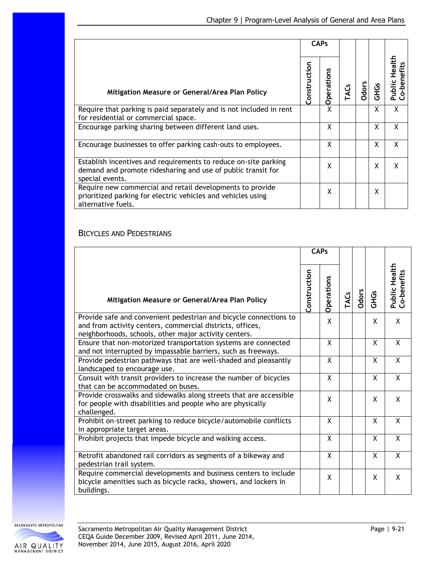|                                                                                                                                                    | <b>CAPs</b>  |                     |     |       |             |                                |
|----------------------------------------------------------------------------------------------------------------------------------------------------|--------------|---------------------|-----|-------|-------------|--------------------------------|
| Mitigation Measure or General/Area Plan Policy                                                                                                     | Construction | ration<br><u>pe</u> | ACs | Odors | <b>GHGS</b> | Health<br>o-benefits<br>Public |
| Require that parking is paid separately and is not included in rent<br>for residential or commercial space.                                        |              | χ                   |     |       | X           | X                              |
| Encourage parking sharing between different land uses.                                                                                             |              | X                   |     |       | X           | X                              |
| Encourage businesses to offer parking cash-outs to employees.                                                                                      |              | χ                   |     |       | X           | X                              |
| Establish incentives and requirements to reduce on-site parking<br>demand and promote ridesharing and use of public transit for<br>special events. |              | χ                   |     |       | X           | X                              |
| Require new commercial and retail developments to provide<br>prioritized parking for electric vehicles and vehicles using<br>alternative fuels.    |              | χ                   |     |       | X           |                                |

### BICYCLES AND PEDESTRIANS

|                                                                                                                                                                                         | <b>CAPs</b>  |            |             |              |             |                                     |  |  |  |  |
|-----------------------------------------------------------------------------------------------------------------------------------------------------------------------------------------|--------------|------------|-------------|--------------|-------------|-------------------------------------|--|--|--|--|
| Mitigation Measure or General/Area Plan Policy                                                                                                                                          | Construction | Operations | <b>TACs</b> | <b>Odors</b> | <b>GHGs</b> | <b>Public Health</b><br>Co-benefits |  |  |  |  |
| Provide safe and convenient pedestrian and bicycle connections to<br>and from activity centers, commercial districts, offices,<br>neighborhoods, schools, other major activity centers. |              | X          |             |              | X           | X                                   |  |  |  |  |
| Ensure that non-motorized transportation systems are connected<br>and not interrupted by impassable barriers, such as freeways.                                                         |              | X          |             |              | X           | X                                   |  |  |  |  |
| Provide pedestrian pathways that are well-shaded and pleasantly<br>landscaped to encourage use.                                                                                         |              | X          |             |              | X           | X                                   |  |  |  |  |
| Consult with transit providers to increase the number of bicycles<br>that can be accommodated on buses.                                                                                 |              | X          |             |              | X           | $\mathsf{X}$                        |  |  |  |  |
| Provide crosswalks and sidewalks along streets that are accessible<br>for people with disabilities and people who are physically<br>challenged.                                         |              | X          |             |              | X           | X                                   |  |  |  |  |
| Prohibit on-street parking to reduce bicycle/automobile conflicts<br>in appropriate target areas.                                                                                       |              | X          |             |              | X           | X                                   |  |  |  |  |
| Prohibit projects that impede bicycle and walking access.                                                                                                                               |              | X          |             |              | X           | $\overline{X}$                      |  |  |  |  |
| Retrofit abandoned rail corridors as segments of a bikeway and<br>pedestrian trail system.                                                                                              |              | X          |             |              | X           | X                                   |  |  |  |  |
| Require commercial developments and business centers to include<br>bicycle amenities such as bicycle racks, showers, and lockers in<br>buildings.                                       |              | X          |             |              | X           | X                                   |  |  |  |  |

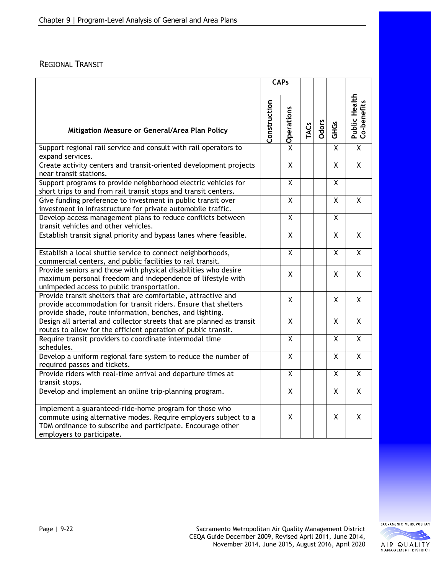#### REGIONAL TRANSIT

|                                                                                                                                                                                                                       | <b>CAPs</b>  |                         |      |       |                         |                              |
|-----------------------------------------------------------------------------------------------------------------------------------------------------------------------------------------------------------------------|--------------|-------------------------|------|-------|-------------------------|------------------------------|
| Mitigation Measure or General/Area Plan Policy                                                                                                                                                                        | Construction | Operations              | TACS | Odors | <b>GHGs</b>             | Public Health<br>Co-benefits |
| Support regional rail service and consult with rail operators to<br>expand services.                                                                                                                                  |              | $\overline{X}$          |      |       | $\overline{\mathsf{x}}$ | $\overline{\mathsf{x}}$      |
| Create activity centers and transit-oriented development projects<br>near transit stations.                                                                                                                           |              | $\overline{X}$          |      |       | $\overline{X}$          | $\overline{\mathsf{x}}$      |
| Support programs to provide neighborhood electric vehicles for<br>short trips to and from rail transit stops and transit centers.                                                                                     |              | X                       |      |       | Χ                       |                              |
| Give funding preference to investment in public transit over<br>investment in infrastructure for private automobile traffic.                                                                                          |              | $\overline{\mathsf{x}}$ |      |       | $\overline{X}$          | $\overline{\mathsf{x}}$      |
| Develop access management plans to reduce conflicts between<br>transit vehicles and other vehicles.                                                                                                                   |              | $\overline{X}$          |      |       | X                       |                              |
| Establish transit signal priority and bypass lanes where feasible.                                                                                                                                                    |              | X                       |      |       | X                       | X                            |
| Establish a local shuttle service to connect neighborhoods,<br>commercial centers, and public facilities to rail transit.                                                                                             |              | $\overline{X}$          |      |       | $\overline{X}$          | $\overline{X}$               |
| Provide seniors and those with physical disabilities who desire<br>maximum personal freedom and independence of lifestyle with<br>unimpeded access to public transportation.                                          |              | X                       |      |       | X.                      | X                            |
| Provide transit shelters that are comfortable, attractive and<br>provide accommodation for transit riders. Ensure that shelters<br>provide shade, route information, benches, and lighting.                           |              | X                       |      |       | X.                      | X                            |
| Design all arterial and collector streets that are planned as transit<br>routes to allow for the efficient operation of public transit.                                                                               |              | $\overline{X}$          |      |       | X                       | $\overline{X}$               |
| Require transit providers to coordinate intermodal time<br>schedules.                                                                                                                                                 |              | X                       |      |       | Χ                       | Χ                            |
| Develop a uniform regional fare system to reduce the number of<br>required passes and tickets.                                                                                                                        |              | $\overline{\mathsf{x}}$ |      |       | $\overline{\mathsf{x}}$ | $\overline{\mathsf{x}}$      |
| Provide riders with real-time arrival and departure times at<br>transit stops.                                                                                                                                        |              | $\overline{X}$          |      |       | X                       | $\overline{\mathsf{X}}$      |
| Develop and implement an online trip-planning program.                                                                                                                                                                |              | $\overline{X}$          |      |       | $\overline{X}$          | $\overline{\mathsf{x}}$      |
| Implement a guaranteed-ride-home program for those who<br>commute using alternative modes. Require employers subject to a<br>TDM ordinance to subscribe and participate. Encourage other<br>employers to participate. |              | X                       |      |       | X                       | X                            |

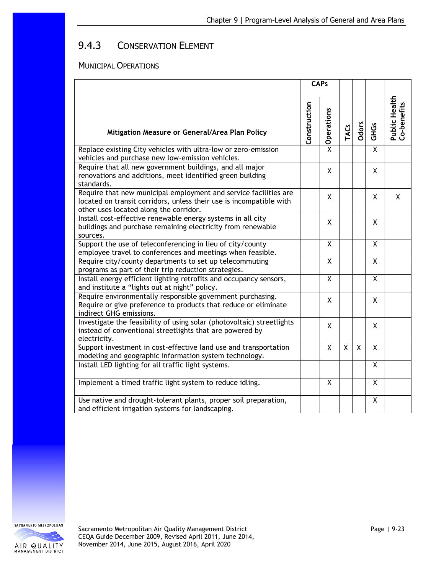# 9.4.3 CONSERVATION ELEMENT

#### MUNICIPAL OPERATIONS

|                                                                                                                                                                                   |              | <b>CAPs</b>             |                |       |                         |                              |
|-----------------------------------------------------------------------------------------------------------------------------------------------------------------------------------|--------------|-------------------------|----------------|-------|-------------------------|------------------------------|
| Mitigation Measure or General/Area Plan Policy                                                                                                                                    | Construction | Operations              | <b>TACs</b>    | Odors | <b>GHGS</b>             | Public Health<br>Co-benefits |
| Replace existing City vehicles with ultra-low or zero-emission<br>vehicles and purchase new low-emission vehicles.                                                                |              | X                       |                |       | X                       |                              |
| Require that all new government buildings, and all major<br>renovations and additions, meet identified green building<br>standards.                                               |              | X                       |                |       | X                       |                              |
| Require that new municipal employment and service facilities are<br>located on transit corridors, unless their use is incompatible with<br>other uses located along the corridor. |              | X                       |                |       | X                       | X                            |
| Install cost-effective renewable energy systems in all city<br>buildings and purchase remaining electricity from renewable<br>sources.                                            |              | X                       |                |       | X                       |                              |
| Support the use of teleconferencing in lieu of city/county<br>employee travel to conferences and meetings when feasible.                                                          |              | X                       |                |       | X                       |                              |
| Require city/county departments to set up telecommuting<br>programs as part of their trip reduction strategies.                                                                   |              | $\overline{\mathsf{x}}$ |                |       | $\overline{\mathsf{x}}$ |                              |
| Install energy efficient lighting retrofits and occupancy sensors,<br>and institute a "lights out at night" policy.                                                               |              | X                       |                |       | X                       |                              |
| Require environmentally responsible government purchasing.<br>Require or give preference to products that reduce or eliminate<br>indirect GHG emissions.                          |              | X                       |                |       | X                       |                              |
| Investigate the feasibility of using solar (photovoltaic) streetlights<br>instead of conventional streetlights that are powered by<br>electricity.                                |              | X                       |                |       | X                       |                              |
| Support investment in cost-effective land use and transportation<br>modeling and geographic information system technology.                                                        |              | X                       | $\overline{X}$ | X     | $\overline{X}$          |                              |
| Install LED lighting for all traffic light systems.                                                                                                                               |              |                         |                |       | X                       |                              |
| Implement a timed traffic light system to reduce idling.                                                                                                                          |              | X                       |                |       | X                       |                              |
| Use native and drought-tolerant plants, proper soil preparation,<br>and efficient irrigation systems for landscaping.                                                             |              |                         |                |       | X                       |                              |

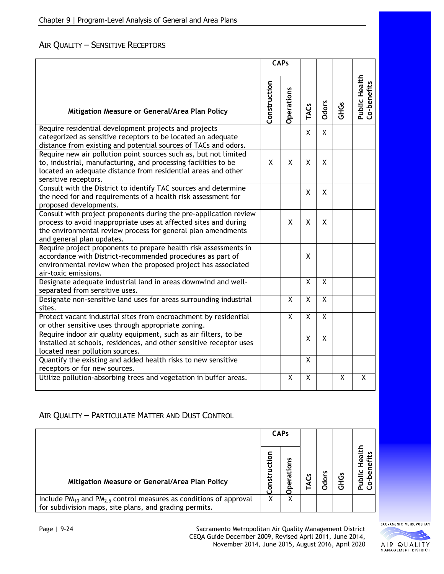### AIR QUALITY – SENSITIVE RECEPTORS

|                                                                                                                                                                                                                                    |              | <b>CAPs</b>             |                         |                |             |                                     |
|------------------------------------------------------------------------------------------------------------------------------------------------------------------------------------------------------------------------------------|--------------|-------------------------|-------------------------|----------------|-------------|-------------------------------------|
| Mitigation Measure or General/Area Plan Policy                                                                                                                                                                                     | Construction | Operations              | TACS                    | <b>Odors</b>   | <b>GHGS</b> | <b>Public Health</b><br>Co-benefits |
| Require residential development projects and projects<br>categorized as sensitive receptors to be located an adequate<br>distance from existing and potential sources of TACs and odors.                                           |              |                         | X                       | X              |             |                                     |
| Require new air pollution point sources such as, but not limited<br>to, industrial, manufacturing, and processing facilities to be<br>located an adequate distance from residential areas and other<br>sensitive receptors.        | X            | X                       | X                       | X              |             |                                     |
| Consult with the District to identify TAC sources and determine<br>the need for and requirements of a health risk assessment for<br>proposed developments.                                                                         |              |                         | X                       | X              |             |                                     |
| Consult with project proponents during the pre-application review<br>process to avoid inappropriate uses at affected sites and during<br>the environmental review process for general plan amendments<br>and general plan updates. |              | X                       | X                       | X              |             |                                     |
| Require project proponents to prepare health risk assessments in<br>accordance with District-recommended procedures as part of<br>environmental review when the proposed project has associated<br>air-toxic emissions.            |              |                         | X                       |                |             |                                     |
| Designate adequate industrial land in areas downwind and well-<br>separated from sensitive uses.                                                                                                                                   |              |                         | X                       | X              |             |                                     |
| Designate non-sensitive land uses for areas surrounding industrial<br>sites.                                                                                                                                                       |              | $\overline{\mathsf{x}}$ | $\overline{\mathsf{x}}$ | $\overline{X}$ |             |                                     |
| Protect vacant industrial sites from encroachment by residential<br>or other sensitive uses through appropriate zoning.                                                                                                            |              | X                       | $\mathsf{x}$            | X              |             |                                     |
| Require indoor air quality equipment, such as air filters, to be<br>installed at schools, residences, and other sensitive receptor uses<br>located near pollution sources.                                                         |              |                         | X                       | X              |             |                                     |
| Quantify the existing and added health risks to new sensitive<br>receptors or for new sources.                                                                                                                                     |              |                         | X                       |                |             |                                     |
| Utilize pollution-absorbing trees and vegetation in buffer areas.                                                                                                                                                                  |              | Χ                       | X                       |                | Χ           | X                                   |

### AIR QUALITY – PARTICULATE MATTER AND DUST CONTROL

|                                                                                                                                       |            | <b>CAPs</b>      |  |                 |               |                  |  |  |
|---------------------------------------------------------------------------------------------------------------------------------------|------------|------------------|--|-----------------|---------------|------------------|--|--|
| Mitigation Measure or General/Area Plan Policy                                                                                        | ğ<br>onsti | n<br>٥<br>൹<br>ω |  | n<br><b>Odo</b> | <u>ی</u><br>玉 | 뒫<br>≝<br>ತ<br>6 |  |  |
| Include $PM_{10}$ and $PM_{2.5}$ control measures as conditions of approval<br>for subdivision maps, site plans, and grading permits. | v          | χ                |  |                 |               |                  |  |  |

SACRAMENTO METROPOLITAN

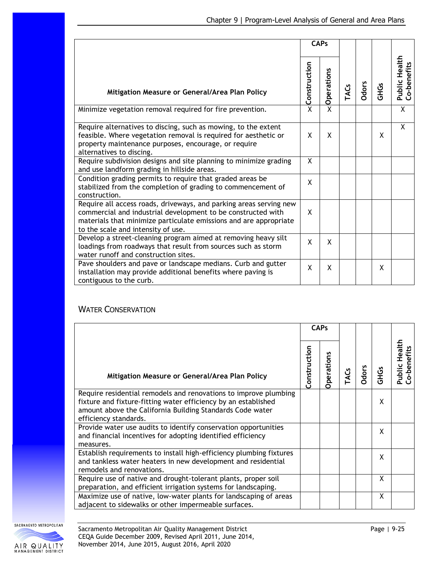|                                                                                                                                                                                                                                               | <b>CAPs</b>  |            |             |       |             |                              |  |  |
|-----------------------------------------------------------------------------------------------------------------------------------------------------------------------------------------------------------------------------------------------|--------------|------------|-------------|-------|-------------|------------------------------|--|--|
| Mitigation Measure or General/Area Plan Policy                                                                                                                                                                                                | Construction | Operations | <b>TACs</b> | Odors | <b>GHGs</b> | Public Health<br>Co-benefits |  |  |
| Minimize vegetation removal required for fire prevention.                                                                                                                                                                                     | X            | X          |             |       |             | $\overline{X}$               |  |  |
| Require alternatives to discing, such as mowing, to the extent<br>feasible. Where vegetation removal is required for aesthetic or<br>property maintenance purposes, encourage, or require<br>alternatives to discing.                         | X            | X          |             |       | X           | X                            |  |  |
| Require subdivision designs and site planning to minimize grading<br>and use landform grading in hillside areas.                                                                                                                              | X            |            |             |       |             |                              |  |  |
| Condition grading permits to require that graded areas be<br>stabilized from the completion of grading to commencement of<br>construction.                                                                                                    | X            |            |             |       |             |                              |  |  |
| Require all access roads, driveways, and parking areas serving new<br>commercial and industrial development to be constructed with<br>materials that minimize particulate emissions and are appropriate<br>to the scale and intensity of use. | X            |            |             |       |             |                              |  |  |
| Develop a street-cleaning program aimed at removing heavy silt<br>loadings from roadways that result from sources such as storm<br>water runoff and construction sites.                                                                       | X            | X          |             |       |             |                              |  |  |
| Pave shoulders and pave or landscape medians. Curb and gutter<br>installation may provide additional benefits where paving is<br>contiguous to the curb.                                                                                      | X            | Χ          |             |       | X           |                              |  |  |

#### WATER CONSERVATION

|                                                                                                                                                                                                                          | <b>CAPs</b>  |           |     |              |             |                                     |  |  |  |  |  |  |
|--------------------------------------------------------------------------------------------------------------------------------------------------------------------------------------------------------------------------|--------------|-----------|-----|--------------|-------------|-------------------------------------|--|--|--|--|--|--|
| Mitigation Measure or General/Area Plan Policy                                                                                                                                                                           | Construction | perations | ACs | <b>Odors</b> | <b>GHGS</b> | <b>Public Health</b><br>Co-benefits |  |  |  |  |  |  |
| Require residential remodels and renovations to improve plumbing<br>fixture and fixture-fitting water efficiency by an established<br>amount above the California Building Standards Code water<br>efficiency standards. |              |           |     |              | x           |                                     |  |  |  |  |  |  |
| Provide water use audits to identify conservation opportunities<br>and financial incentives for adopting identified efficiency<br>measures.                                                                              |              |           |     |              | x           |                                     |  |  |  |  |  |  |
| Establish requirements to install high-efficiency plumbing fixtures<br>and tankless water heaters in new development and residential<br>remodels and renovations.                                                        |              |           |     |              | x           |                                     |  |  |  |  |  |  |
| Require use of native and drought-tolerant plants, proper soil<br>preparation, and efficient irrigation systems for landscaping.                                                                                         |              |           |     |              | X           |                                     |  |  |  |  |  |  |
| Maximize use of native, low-water plants for landscaping of areas<br>adjacent to sidewalks or other impermeable surfaces.                                                                                                |              |           |     |              | X           |                                     |  |  |  |  |  |  |

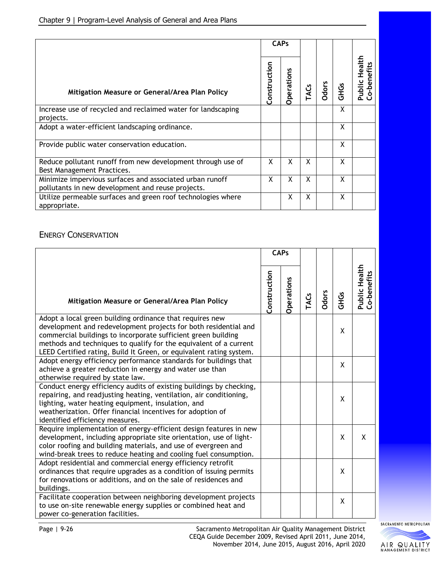|                                                                                                               | <b>CAPs</b>  |                   |             |              |             |                                             |  |  |  |  |
|---------------------------------------------------------------------------------------------------------------|--------------|-------------------|-------------|--------------|-------------|---------------------------------------------|--|--|--|--|
| Mitigation Measure or General/Area Plan Policy                                                                | Construction | <b>Operations</b> | <b>TACs</b> | <b>Odors</b> | <b>GHGS</b> | tealt <del>r</del><br>Co-benefits<br>Public |  |  |  |  |
| Increase use of recycled and reclaimed water for landscaping<br>projects.                                     |              |                   |             |              | X           |                                             |  |  |  |  |
| Adopt a water-efficient landscaping ordinance.                                                                |              |                   |             |              | X           |                                             |  |  |  |  |
| Provide public water conservation education.                                                                  |              |                   |             |              | X           |                                             |  |  |  |  |
| Reduce pollutant runoff from new development through use of<br>Best Management Practices.                     | X            | X                 | X           |              | X           |                                             |  |  |  |  |
| Minimize impervious surfaces and associated urban runoff<br>pollutants in new development and reuse projects. | X            | X                 | X           |              | X           |                                             |  |  |  |  |
| Utilize permeable surfaces and green roof technologies where<br>appropriate.                                  |              | X                 | X           |              | X           |                                             |  |  |  |  |

#### ENERGY CONSERVATION

|                                                                                                                                                                                                                                                                                                                                          | <b>CAPs</b>  |            |      |       |             |                                     |  |  |
|------------------------------------------------------------------------------------------------------------------------------------------------------------------------------------------------------------------------------------------------------------------------------------------------------------------------------------------|--------------|------------|------|-------|-------------|-------------------------------------|--|--|
| Mitigation Measure or General/Area Plan Policy                                                                                                                                                                                                                                                                                           | Construction | Operations | TACS | Odors | <b>GHGs</b> | <b>Public Health</b><br>Co-benefits |  |  |
| Adopt a local green building ordinance that requires new<br>development and redevelopment projects for both residential and<br>commercial buildings to incorporate sufficient green building<br>methods and techniques to qualify for the equivalent of a current<br>LEED Certified rating, Build It Green, or equivalent rating system. |              |            |      |       | X           |                                     |  |  |
| Adopt energy efficiency performance standards for buildings that<br>achieve a greater reduction in energy and water use than<br>otherwise required by state law.                                                                                                                                                                         |              |            |      |       | X           |                                     |  |  |
| Conduct energy efficiency audits of existing buildings by checking,<br>repairing, and readjusting heating, ventilation, air conditioning,<br>lighting, water heating equipment, insulation, and<br>weatherization. Offer financial incentives for adoption of<br>identified efficiency measures.                                         |              |            |      |       | X           |                                     |  |  |
| Require implementation of energy-efficient design features in new<br>development, including appropriate site orientation, use of light-<br>color roofing and building materials, and use of evergreen and<br>wind-break trees to reduce heating and cooling fuel consumption.                                                            |              |            |      |       | X           | X                                   |  |  |
| Adopt residential and commercial energy efficiency retrofit<br>ordinances that require upgrades as a condition of issuing permits<br>for renovations or additions, and on the sale of residences and<br>buildings.                                                                                                                       |              |            |      |       | X           |                                     |  |  |
| Facilitate cooperation between neighboring development projects<br>to use on-site renewable energy supplies or combined heat and<br>power co-generation facilities.                                                                                                                                                                      |              |            |      |       | X           |                                     |  |  |

SACRAMENTO METROPOLITAN



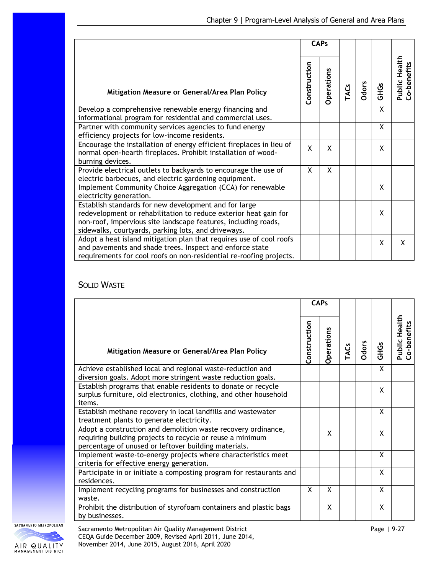|                                                                                                                                                                                                                                                    | <b>CAPs</b>  |                   |     |              |             |                              |  |  |
|----------------------------------------------------------------------------------------------------------------------------------------------------------------------------------------------------------------------------------------------------|--------------|-------------------|-----|--------------|-------------|------------------------------|--|--|
| Mitigation Measure or General/Area Plan Policy                                                                                                                                                                                                     | Construction | <b>Operations</b> | ACs | <b>Odors</b> | <b>GHGS</b> | Public Health<br>Co-benefits |  |  |
| Develop a comprehensive renewable energy financing and<br>informational program for residential and commercial uses.                                                                                                                               |              |                   |     |              | X           |                              |  |  |
| Partner with community services agencies to fund energy<br>efficiency projects for low-income residents.                                                                                                                                           |              |                   |     |              | X           |                              |  |  |
| Encourage the installation of energy efficient fireplaces in lieu of<br>normal open-hearth fireplaces. Prohibit installation of wood-<br>burning devices.                                                                                          | X            | X                 |     |              | Χ           |                              |  |  |
| Provide electrical outlets to backyards to encourage the use of<br>electric barbecues, and electric gardening equipment.                                                                                                                           | X            | X                 |     |              |             |                              |  |  |
| Implement Community Choice Aggregation (CCA) for renewable<br>electricity generation.                                                                                                                                                              |              |                   |     |              | X           |                              |  |  |
| Establish standards for new development and for large<br>redevelopment or rehabilitation to reduce exterior heat gain for<br>non-roof, impervious site landscape features, including roads,<br>sidewalks, courtyards, parking lots, and driveways. |              |                   |     |              | X           |                              |  |  |
| Adopt a heat island mitigation plan that requires use of cool roofs<br>and pavements and shade trees. Inspect and enforce state<br>requirements for cool roofs on non-residential re-roofing projects.                                             |              |                   |     |              | X           | X                            |  |  |

### SOLID WASTE

|                                                                                                                                                                                    | <b>CAPs</b>  |                   |      |              |             |                                     |  |  |
|------------------------------------------------------------------------------------------------------------------------------------------------------------------------------------|--------------|-------------------|------|--------------|-------------|-------------------------------------|--|--|
| Mitigation Measure or General/Area Plan Policy                                                                                                                                     | Construction | <b>Operations</b> | TACS | <b>Odors</b> | <b>GHGS</b> | <b>Public Health</b><br>Co-benefits |  |  |
| Achieve established local and regional waste-reduction and<br>diversion goals. Adopt more stringent waste reduction goals.                                                         |              |                   |      |              | X           |                                     |  |  |
| Establish programs that enable residents to donate or recycle<br>surplus furniture, old electronics, clothing, and other household<br>items.                                       |              |                   |      |              | X           |                                     |  |  |
| Establish methane recovery in local landfills and wastewater<br>treatment plants to generate electricity.                                                                          |              |                   |      |              | X           |                                     |  |  |
| Adopt a construction and demolition waste recovery ordinance,<br>requiring building projects to recycle or reuse a minimum<br>percentage of unused or leftover building materials. |              | X                 |      |              | X           |                                     |  |  |
| Implement waste-to-energy projects where characteristics meet<br>criteria for effective energy generation.                                                                         |              |                   |      |              | X           |                                     |  |  |
| Participate in or initiate a composting program for restaurants and<br>residences.                                                                                                 |              |                   |      |              | X           |                                     |  |  |
| Implement recycling programs for businesses and construction<br>waste.                                                                                                             | X            | X                 |      |              | X           |                                     |  |  |
| Prohibit the distribution of styrofoam containers and plastic bags<br>by businesses.                                                                                               |              | X                 |      |              | X           |                                     |  |  |

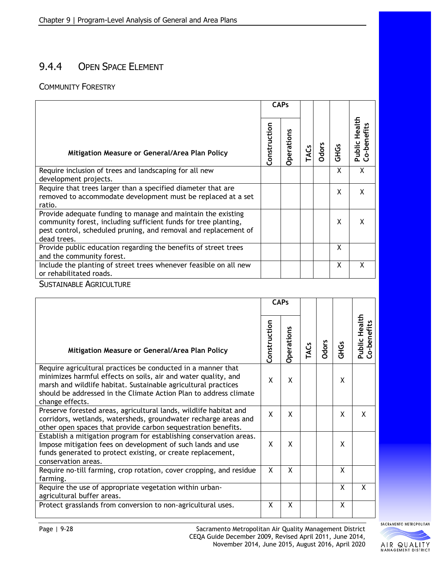# 9.4.4 OPEN SPACE ELEMENT

### COMMUNITY FORESTRY

|                                                                                                                                                                                                                   | <b>CAPs</b>  |                   |             |              |             |                                              |  |  |  |  |  |  |
|-------------------------------------------------------------------------------------------------------------------------------------------------------------------------------------------------------------------|--------------|-------------------|-------------|--------------|-------------|----------------------------------------------|--|--|--|--|--|--|
| Mitigation Measure or General/Area Plan Policy                                                                                                                                                                    | Construction | <b>Operations</b> | <b>TACS</b> | <b>Odors</b> | <b>GHGS</b> | Health<br><b>Public Healt</b><br>Co-benefits |  |  |  |  |  |  |
| Require inclusion of trees and landscaping for all new<br>development projects.                                                                                                                                   |              |                   |             |              | X           | X                                            |  |  |  |  |  |  |
| Require that trees larger than a specified diameter that are<br>removed to accommodate development must be replaced at a set<br>ratio.                                                                            |              |                   |             |              | X           | x                                            |  |  |  |  |  |  |
| Provide adequate funding to manage and maintain the existing<br>community forest, including sufficient funds for tree planting,<br>pest control, scheduled pruning, and removal and replacement of<br>dead trees. |              |                   |             |              | X           |                                              |  |  |  |  |  |  |
| Provide public education regarding the benefits of street trees<br>and the community forest.                                                                                                                      |              |                   |             |              | X           |                                              |  |  |  |  |  |  |
| Include the planting of street trees whenever feasible on all new<br>or rehabilitated roads.                                                                                                                      |              |                   |             |              | X           | X                                            |  |  |  |  |  |  |

SUSTAINABLE AGRICULTURE

|                                                                                                                                                                                                                                                                                          | <b>CAPs</b>  |                   |             |              |             |                              |  |  |
|------------------------------------------------------------------------------------------------------------------------------------------------------------------------------------------------------------------------------------------------------------------------------------------|--------------|-------------------|-------------|--------------|-------------|------------------------------|--|--|
| Mitigation Measure or General/Area Plan Policy                                                                                                                                                                                                                                           | Construction | <b>Operations</b> | <b>TACs</b> | <b>Odors</b> | <b>GHGS</b> | Public Health<br>Co-benefits |  |  |
| Require agricultural practices be conducted in a manner that<br>minimizes harmful effects on soils, air and water quality, and<br>marsh and wildlife habitat. Sustainable agricultural practices<br>should be addressed in the Climate Action Plan to address climate<br>change effects. | X            | X                 |             |              | X           |                              |  |  |
| Preserve forested areas, agricultural lands, wildlife habitat and<br>corridors, wetlands, watersheds, groundwater recharge areas and<br>other open spaces that provide carbon sequestration benefits.                                                                                    | X            | X                 |             |              | X           | X                            |  |  |
| Establish a mitigation program for establishing conservation areas.<br>Impose mitigation fees on development of such lands and use<br>funds generated to protect existing, or create replacement,<br>conservation areas.                                                                 | X            | X                 |             |              | X           |                              |  |  |
| Require no-till farming, crop rotation, cover cropping, and residue<br>farming.                                                                                                                                                                                                          | X            | X                 |             |              | X           |                              |  |  |
| Require the use of appropriate vegetation within urban-<br>agricultural buffer areas.                                                                                                                                                                                                    |              |                   |             |              | X           | X                            |  |  |
| Protect grasslands from conversion to non-agricultural uses.                                                                                                                                                                                                                             | Χ            | X                 |             |              | X           |                              |  |  |

SACRAMENTO METROPOLITAN

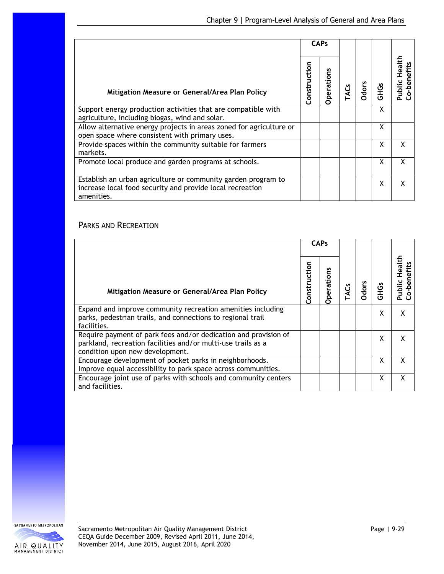|                                                                                                                                          | <b>CAPs</b>  |           |     |              |             |                                |  |  |  |  |  |  |
|------------------------------------------------------------------------------------------------------------------------------------------|--------------|-----------|-----|--------------|-------------|--------------------------------|--|--|--|--|--|--|
| Mitigation Measure or General/Area Plan Policy                                                                                           | Construction | Operation | ACs | <b>Odors</b> | <b>GHGS</b> | Health<br>o-benefits<br>Public |  |  |  |  |  |  |
| Support energy production activities that are compatible with<br>agriculture, including biogas, wind and solar.                          |              |           |     |              | X           |                                |  |  |  |  |  |  |
| Allow alternative energy projects in areas zoned for agriculture or<br>open space where consistent with primary uses.                    |              |           |     |              | X           |                                |  |  |  |  |  |  |
| Provide spaces within the community suitable for farmers<br>markets.                                                                     |              |           |     |              | X           | x                              |  |  |  |  |  |  |
| Promote local produce and garden programs at schools.                                                                                    |              |           |     |              | χ           | χ                              |  |  |  |  |  |  |
| Establish an urban agriculture or community garden program to<br>increase local food security and provide local recreation<br>amenities. |              |           |     |              | X           | x                              |  |  |  |  |  |  |

### PARKS AND RECREATION

|                                                                                                                                                                    | <b>CAPs</b>  |                   |      |              |              |                                      |  |  |
|--------------------------------------------------------------------------------------------------------------------------------------------------------------------|--------------|-------------------|------|--------------|--------------|--------------------------------------|--|--|
| Mitigation Measure or General/Area Plan Policy                                                                                                                     | Construction | <b>Operations</b> | TACS | <b>Odors</b> | <b>SSHOS</b> | <b>Healt</b><br>o-benefits<br>Public |  |  |
| Expand and improve community recreation amenities including<br>parks, pedestrian trails, and connections to regional trail<br>facilities.                          |              |                   |      |              | X            | X                                    |  |  |
| Require payment of park fees and/or dedication and provision of<br>parkland, recreation facilities and/or multi-use trails as a<br>condition upon new development. |              |                   |      |              | X            | X                                    |  |  |
| Encourage development of pocket parks in neighborhoods.<br>Improve equal accessibility to park space across communities.                                           |              |                   |      |              | X            | X                                    |  |  |
| Encourage joint use of parks with schools and community centers<br>and facilities.                                                                                 |              |                   |      |              | X            | X                                    |  |  |

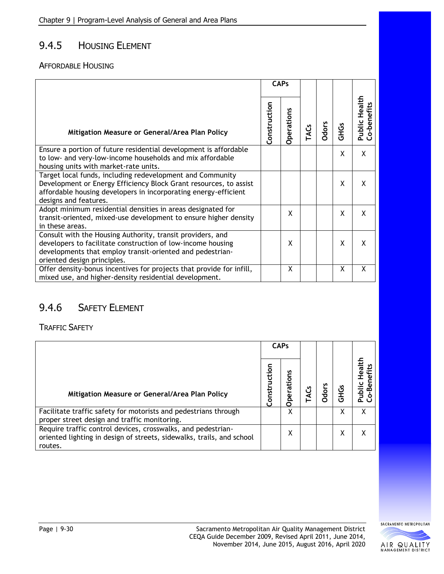## 9.4.5 HOUSING ELEMENT

#### AFFORDABLE HOUSING

|                                                                                                                                                                                                                            | <b>CAPs</b>  |            |     |       |             |                                              |  |  |  |  |  |  |
|----------------------------------------------------------------------------------------------------------------------------------------------------------------------------------------------------------------------------|--------------|------------|-----|-------|-------------|----------------------------------------------|--|--|--|--|--|--|
| Mitigation Measure or General/Area Plan Policy                                                                                                                                                                             | Construction | Operations | ACs | Odors | <b>GHGS</b> | Health<br><b>Public Healt</b><br>Co-benefits |  |  |  |  |  |  |
| Ensure a portion of future residential development is affordable<br>to low- and very-low-income households and mix affordable<br>housing units with market-rate units.                                                     |              |            |     |       | X           | X                                            |  |  |  |  |  |  |
| Target local funds, including redevelopment and Community<br>Development or Energy Efficiency Block Grant resources, to assist<br>affordable housing developers in incorporating energy-efficient<br>designs and features. |              |            |     |       | Χ           | X                                            |  |  |  |  |  |  |
| Adopt minimum residential densities in areas designated for<br>transit-oriented, mixed-use development to ensure higher density<br>in these areas.                                                                         |              | X          |     |       | X           | X                                            |  |  |  |  |  |  |
| Consult with the Housing Authority, transit providers, and<br>developers to facilitate construction of low-income housing<br>developments that employ transit-oriented and pedestrian-<br>oriented design principles.      |              | X          |     |       | X           | X                                            |  |  |  |  |  |  |
| Offer density-bonus incentives for projects that provide for infill,<br>mixed use, and higher-density residential development.                                                                                             |              | X          |     |       | X           | X                                            |  |  |  |  |  |  |

# 9.4.6 SAFETY ELEMENT

TRAFFIC SAFETY

|                                                                                                                                                  | <b>CAPs</b>      |                |   |      |   |  |  |  |  |  |  |  |  |
|--------------------------------------------------------------------------------------------------------------------------------------------------|------------------|----------------|---|------|---|--|--|--|--|--|--|--|--|
| Mitigation Measure or General/Area Plan Policy                                                                                                   | ction<br>Constru | rations<br>ဥ္က | 횽 | GHGS |   |  |  |  |  |  |  |  |  |
| Facilitate traffic safety for motorists and pedestrians through<br>proper street design and traffic monitoring.                                  |                  | Χ              |   |      |   |  |  |  |  |  |  |  |  |
| Require traffic control devices, crosswalks, and pedestrian-<br>oriented lighting in design of streets, sidewalks, trails, and school<br>routes. |                  | X              |   | χ    | х |  |  |  |  |  |  |  |  |